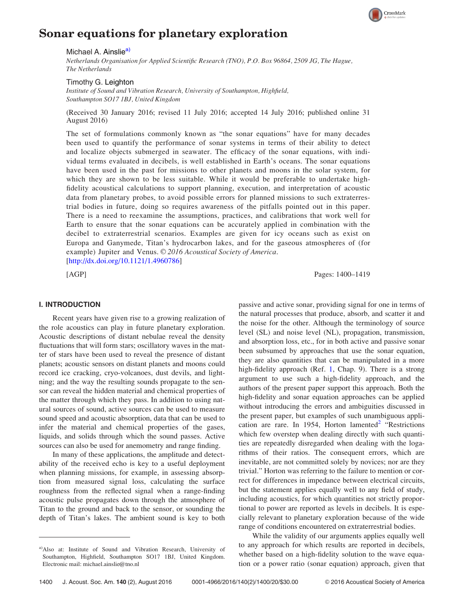

# Sonar equations for planetary exploration

# Michael A. Ainslie<sup>a)</sup>

Netherlands Organisation for Applied Scientific Research (TNO), P.O. Box 96864, 2509 JG, The Hague, The Netherlands

## Timothy G. Leighton

Institute of Sound and Vibration Research, University of Southampton, Highfield, Southampton SO17 1BJ, United Kingdom

(Received 30 January 2016; revised 11 July 2016; accepted 14 July 2016; published online 31 August 2016)

The set of formulations commonly known as "the sonar equations" have for many decades been used to quantify the performance of sonar systems in terms of their ability to detect and localize objects submerged in seawater. The efficacy of the sonar equations, with individual terms evaluated in decibels, is well established in Earth's oceans. The sonar equations have been used in the past for missions to other planets and moons in the solar system, for which they are shown to be less suitable. While it would be preferable to undertake highfidelity acoustical calculations to support planning, execution, and interpretation of acoustic data from planetary probes, to avoid possible errors for planned missions to such extraterrestrial bodies in future, doing so requires awareness of the pitfalls pointed out in this paper. There is a need to reexamine the assumptions, practices, and calibrations that work well for Earth to ensure that the sonar equations can be accurately applied in combination with the decibel to extraterrestrial scenarios. Examples are given for icy oceans such as exist on Europa and Ganymede, Titan's hydrocarbon lakes, and for the gaseous atmospheres of (for example) Jupiter and Venus. © 2016 Acoustical Society of America.

[[http://dx.doi.org/10.1121/1.4960786\]](http://dx.doi.org/10.1121/1.4960786)

[AGP] Pages: 1400–1419

# I. INTRODUCTION

Recent years have given rise to a growing realization of the role acoustics can play in future planetary exploration. Acoustic descriptions of distant nebulae reveal the density fluctuations that will form stars; oscillatory waves in the matter of stars have been used to reveal the presence of distant planets; acoustic sensors on distant planets and moons could record ice cracking, cryo-volcanoes, dust devils, and lightning; and the way the resulting sounds propagate to the sensor can reveal the hidden material and chemical properties of the matter through which they pass. In addition to using natural sources of sound, active sources can be used to measure sound speed and acoustic absorption, data that can be used to infer the material and chemical properties of the gases, liquids, and solids through which the sound passes. Active sources can also be used for anemometry and range finding.

In many of these applications, the amplitude and detectability of the received echo is key to a useful deployment when planning missions, for example, in assessing absorption from measured signal loss, calculating the surface roughness from the reflected signal when a range-finding acoustic pulse propagates down through the atmosphere of Titan to the ground and back to the sensor, or sounding the depth of Titan's lakes. The ambient sound is key to both passive and active sonar, providing signal for one in terms of the natural processes that produce, absorb, and scatter it and the noise for the other. Although the terminology of source level (SL) and noise level (NL), propagation, transmission, and absorption loss, etc., for in both active and passive sonar been subsumed by approaches that use the sonar equation, they are also quantities that can be manipulated in a more high-fidelity approach (Ref. [1](#page-16-0), Chap. 9). There is a strong argument to use such a high-fidelity approach, and the authors of the present paper support this approach. Both the high-fidelity and sonar equation approaches can be applied without introducing the errors and ambiguities discussed in the present paper, but examples of such unambiguous application are rare. In 1954, Horton lamented $2$  "Restrictions which few overstep when dealing directly with such quantities are repeatedly disregarded when dealing with the logarithms of their ratios. The consequent errors, which are inevitable, are not committed solely by novices; nor are they trivial." Horton was referring to the failure to mention or correct for differences in impedance between electrical circuits, but the statement applies equally well to any field of study, including acoustics, for which quantities not strictly proportional to power are reported as levels in decibels. It is especially relevant to planetary exploration because of the wide range of conditions encountered on extraterrestrial bodies.

While the validity of our arguments applies equally well to any approach for which results are reported in decibels, whether based on a high-fidelity solution to the wave equation or a power ratio (sonar equation) approach, given that

a)Also at: Institute of Sound and Vibration Research, University of Southampton, Highfield, Southampton SO17 1BJ, United Kingdom. Electronic mail: [michael.ainslie@tno.nl](mailto:michael.ainslie@tno.nl)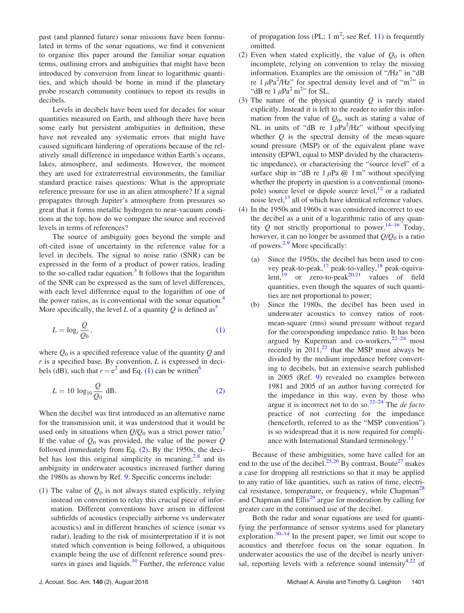past (and planned future) sonar missions have been formulated in terms of the sonar equations, we find it convenient to organise this paper around the familiar sonar equation terms, outlining errors and ambiguities that might have been introduced by conversion from linear to logarithmic quantities, and which should be borne in mind if the planetary probe research community continues to report its results in decibels.

Levels in decibels have been used for decades for sonar quantities measured on Earth, and although there have been some early but persistent ambiguities in definition, these have not revealed any systematic errors that might have caused significant hindering of operations because of the relatively small difference in impedance within Earth's oceans, lakes, atmosphere, and sediments. However, the moment they are used for extraterrestrial environments, the familiar standard practice raises questions: What is the appropriate reference pressure for use in an alien atmosphere? If a signal propagates through Jupiter's atmosphere from pressures so great that it forms metallic hydrogen to near-vacuum conditions at the top, how do we compare the source and received levels in terms of references?

The source of ambiguity goes beyond the simple and oft-cited issue of uncertainty in the reference value for a level in decibels. The signal to noise ratio (SNR) can be expressed in the form of a product of power ratios, leading to the so-called radar equation.<sup>[3](#page-16-0)</sup> It follows that the logarithm of the SNR can be expressed as the sum of level differences, with each level difference equal to the logarithm of one of the power ratios, as is conventional with the sonar equation.<sup>[4](#page-16-0)</sup> More specifically, the level L of a quantity Q is defined as<sup>[5](#page-17-0)</sup>

$$
L = \log_r \frac{Q}{Q_0},\tag{1}
$$

where  $Q_0$  is a specified reference value of the quantity  $Q$  and  $r$  is a specified base. By convention,  $L$  is expressed in decibels (dB), such that  $r = e^2$  and Eq. (1) can be written<sup>[6](#page-17-0)</sup>

$$
L = 10 \log_{10} \frac{Q}{Q_0} \text{ dB.}
$$
 (2)

When the decibel was first introduced as an alternative name for the transmission unit, it was understood that it would be used only in situations when  $Q/Q_0$  was a strict power ratio. If the value of  $Q_0$  was provided, the value of the power  $Q$ followed immediately from Eq. (2). By the 1950s, the decibel has lost this original simplicity in meaning, $2.8$  $2.8$  and its ambiguity in underwater acoustics increased further during the 1980s as shown by Ref. [9](#page-17-0). Specific concerns include:

(1) The value of  $Q_0$  is not always stated explicitly, relying instead on convention to relay this crucial piece of information. Different conventions have arisen in different subfields of acoustics (especially airborne vs underwater acoustics) and in different branches of science (sonar vs radar), leading to the risk of misinterpretation if it is not stated which convention is being followed, a ubiquitous example being the use of different reference sound pres-sures in gases and liquids.<sup>[10](#page-17-0)</sup> Further, the reference value

of propagation loss (PL;  $1 \text{ m}^2$ ; see Ref. [11](#page-17-0)) is frequently omitted.

- (2) Even when stated explicitly, the value of  $Q_0$  is often incomplete, relying on convention to relay the missing information. Examples are the omission of "/Hz" in "dB re  $1 \mu Pa^2/Hz$ " for spectral density level and of "m<sup>2</sup>" in "dB re  $1 \mu Pa^2 m^2$ " for SL.
- (3) The nature of the physical quantity  $Q$  is rarely stated explicitly. Instead it is left to the reader to infer this information from the value of  $Q_0$ , such as stating a value of NL in units of "dB re  $1 \mu Pa^2/Hz$ " without specifying whether  $Q$  is the spectral density of the mean-square sound pressure (MSP) or of the equivalent plane wave intensity (EPWI, equal to MSP divided by the characteristic impedance), or characterising the "source level" of a surface ship in "dB re  $1 \mu Pa$  @  $1 \text{ m}$ " without specifying whether the property in question is a conventional (monopole) source level or dipole source level, $^{12}$  $^{12}$  $^{12}$  or a radiated noise level, $^{13}$  $^{13}$  $^{13}$  all of which have identical reference values.
- (4) In the 1950s and 1960s it was considered incorrect to use the decibel as a unit of a logarithmic ratio of any quantity  $Q$  not strictly proportional to power.<sup>[14–16](#page-17-0)</sup> Today, however, it can no longer be assumed that  $Q/Q_0$  is a ratio of powers.<sup>[2,](#page-16-0)[9](#page-17-0)</sup> More specifically:
	- (a) Since the 1950s, the decibel has been used to con-vey peak-to-peak,<sup>[17](#page-17-0)</sup> peak-to-valley,<sup>[18](#page-17-0)</sup> peak-equivalent, $^{19}$  $^{19}$  $^{19}$  or zero-to-peak<sup>[20](#page-17-0),[21](#page-17-0)</sup> values of field quantities, even though the squares of such quantities are not proportional to power;
	- (b) Since the 1980s, the decibel has been used in underwater acoustics to convey ratios of rootmean-square (rms) sound pressure without regard for the corresponding impedance ratio. It has been argued by Kuperman and co-workers, $22-24$  most recently in  $2011$ ,  $22$  that the MSP must always be divided by the medium impedance before converting to decibels, but an extensive search published in 2005 (Ref. [9\)](#page-17-0) revealed no examples between 1981 and 2005 of an author having corrected for the impedance in this way, even by those who argue it is incorrect not to do so.<sup>22–24</sup> The *de facto* practice of not correcting for the impedance (henceforth, referred to as the "MSP convention") is so widespread that it is now required for compli-ance with International Standard terminology.<sup>[11](#page-17-0)</sup>

Because of these ambiguities, some have called for an end to the use of the decibel.<sup>[25,26](#page-17-0)</sup> By contrast, Boute<sup>[27](#page-17-0)</sup> makes a case for dropping all restrictions so that it may be applied to any ratio of like quantities, such as ratios of time, electri-cal resistance, temperature, or frequency, while Chapman<sup>[28](#page-17-0)</sup> and Chapman and  $Ellis^{29}$  $Ellis^{29}$  $Ellis^{29}$  argue for moderation by calling for greater care in the continued use of the decibel.

Both the radar and sonar equations are used for quantifying the performance of sensor systems used for planetary exploration. $30-34$  In the present paper, we limit our scope to acoustics and therefore focus on the sonar equation. In underwater acoustics the use of the decibel is nearly universal, reporting levels with a reference sound intensity $4.22$  $4.22$  of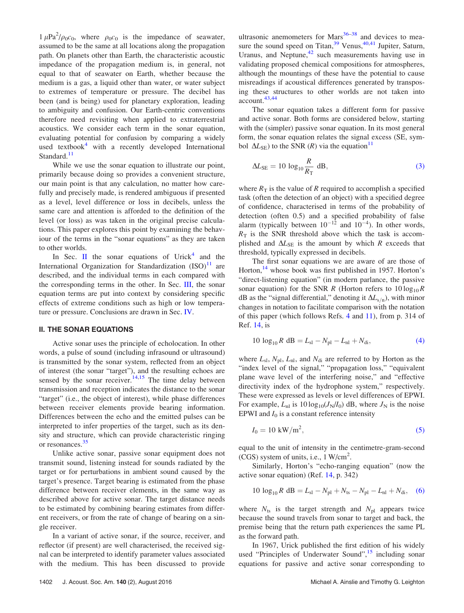<span id="page-2-0"></span> $1 \mu \text{Pa}^2/\rho_0 c_0$ , where  $\rho_0 c_0$  is the impedance of seawater, assumed to be the same at all locations along the propagation path. On planets other than Earth, the characteristic acoustic impedance of the propagation medium is, in general, not equal to that of seawater on Earth, whether because the medium is a gas, a liquid other than water, or water subject to extremes of temperature or pressure. The decibel has been (and is being) used for planetary exploration, leading to ambiguity and confusion. Our Earth-centric conventions therefore need revisiting when applied to extraterrestrial acoustics. We consider each term in the sonar equation, evaluating potential for confusion by comparing a widely used textbook $4$  with a recently developed International Standard.<sup>[11](#page-17-0)</sup>

While we use the sonar equation to illustrate our point, primarily because doing so provides a convenient structure, our main point is that any calculation, no matter how carefully and precisely made, is rendered ambiguous if presented as a level, level difference or loss in decibels, unless the same care and attention is afforded to the definition of the level (or loss) as was taken in the original precise calculations. This paper explores this point by examining the behaviour of the terms in the "sonar equations" as they are taken to other worlds.

In Sec. II the sonar equations of  $Urick<sup>4</sup>$  $Urick<sup>4</sup>$  $Urick<sup>4</sup>$  and the International Organization for Standardization  $(ISO)^{11}$  $(ISO)^{11}$  $(ISO)^{11}$  are described, and the individual terms in each compared with the corresponding terms in the other. In Sec. [III,](#page-9-0) the sonar equation terms are put into context by considering specific effects of extreme conditions such as high or low temperature or pressure. Conclusions are drawn in Sec. [IV.](#page-16-0)

# II. THE SONAR EQUATIONS

Active sonar uses the principle of echolocation. In other words, a pulse of sound (including infrasound or ultrasound) is transmitted by the sonar system, reflected from an object of interest (the sonar "target"), and the resulting echoes are sensed by the sonar receiver.<sup>[14,15](#page-17-0)</sup> The time delay between transmission and reception indicates the distance to the sonar "target" (i.e., the object of interest), while phase differences between receiver elements provide bearing information. Differences between the echo and the emitted pulses can be interpreted to infer properties of the target, such as its density and structure, which can provide characteristic ringing or resonances.<sup>[35](#page-17-0)</sup>

Unlike active sonar, passive sonar equipment does not transmit sound, listening instead for sounds radiated by the target or for perturbations in ambient sound caused by the target's presence. Target bearing is estimated from the phase difference between receiver elements, in the same way as described above for active sonar. The target distance needs to be estimated by combining bearing estimates from different receivers, or from the rate of change of bearing on a single receiver.

In a variant of active sonar, if the source, receiver, and reflector (if present) are well characterised, the received signal can be interpreted to identify parameter values associated with the medium. This has been discussed to provide

ultrasonic anemometers for Mars<sup>[36](#page-17-0)–[38](#page-17-0)</sup> and devices to measure the sound speed on Titan,  $39$  Venus,  $40,41$  Jupiter, Saturn, Uranus, and Neptune, $42$  such measurements having use in validating proposed chemical compositions for atmospheres, although the mountings of these have the potential to cause misreadings if acoustical differences generated by transposing these structures to other worlds are not taken into account.[43,44](#page-17-0)

The sonar equation takes a different form for passive and active sonar. Both forms are considered below, starting with the (simpler) passive sonar equation. In its most general form, the sonar equation relates the signal excess (SE, symbol  $\Delta L_{\text{SE}}$ ) to the SNR (R) via the equation<sup>[11](#page-17-0)</sup>

$$
\Delta L_{\rm SE} = 10 \log_{10} \frac{R}{R_{\rm T}} \text{ dB},\tag{3}
$$

where  $R_T$  is the value of R required to accomplish a specified task (often the detection of an object) with a specified degree of confidence, characterised in terms of the probability of detection (often 0.5) and a specified probability of false alarm (typically between  $10^{-12}$  and  $10^{-4}$ ). In other words,  $R<sub>T</sub>$  is the SNR threshold above which the task is accomplished and  $\Delta L_{\text{SE}}$  is the amount by which R exceeds that threshold, typically expressed in decibels.

The first sonar equations we are aware of are those of Horton,<sup>[14](#page-17-0)</sup> whose book was first published in 1957. Horton's "direct-listening equation" (in modern parlance, the passive sonar equation) for the SNR R (Horton refers to  $10 \log_{10} R$ dB as the "signal differential," denoting it  $\Delta L_{s/n}$ ), with minor changes in notation to facilitate comparison with the notation of this paper (which follows Refs. [4](#page-16-0) and [11](#page-17-0)), from p. 314 of Ref. [14,](#page-17-0) is

$$
10 \log_{10} R \, \text{dB} = L_{\text{sl}} - N_{\text{pl}} - L_{\text{nl}} + N_{\text{di}},\tag{4}
$$

where  $L_{\rm sl}$ ,  $N_{\rm pl}$ ,  $L_{\rm nl}$ , and  $N_{\rm di}$  are referred to by Horton as the "index level of the signal," "propagation loss," "equivalent plane wave level of the interfering noise," and "effective directivity index of the hydrophone system," respectively. These were expressed as levels or level differences of EPWI. For example,  $L_{nl}$  is 10 log<sub>10</sub>( $J_N/I_0$ ) dB, where  $J_N$  is the noise EPWI and  $I_0$  is a constant reference intensity

$$
I_0 = 10 \text{ kW/m}^2,\tag{5}
$$

equal to the unit of intensity in the centimetre-gram-second (CGS) system of units, i.e., 1 W/cm<sup>2</sup> .

Similarly, Horton's "echo-ranging equation" (now the active sonar equation) (Ref. [14](#page-17-0), p. 342)

$$
10 \log_{10} R \, \text{dB} = L_{\text{sl}} - N_{\text{pl}} + N_{\text{ts}} - N_{\text{pl}} - L_{\text{nl}} + N_{\text{di}}, \quad (6)
$$

where  $N_{ts}$  is the target strength and  $N_{pl}$  appears twice because the sound travels from sonar to target and back, the premise being that the return path experiences the same PL as the forward path.

In 1967, Urick published the first edition of his widely used "Principles of Underwater Sound",<sup>15</sup> including sonar equations for passive and active sonar corresponding to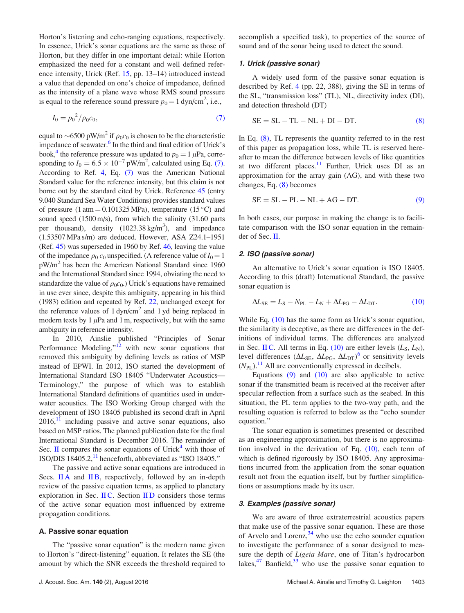<span id="page-3-0"></span>Horton's listening and echo-ranging equations, respectively. In essence, Urick's sonar equations are the same as those of Horton, but they differ in one important detail: while Horton emphasized the need for a constant and well defined reference intensity, Urick (Ref. [15](#page-17-0), pp. 13–14) introduced instead a value that depended on one's choice of impedance, defined as the intensity of a plane wave whose RMS sound pressure is equal to the reference sound pressure  $p_0 = 1$  dyn/cm<sup>2</sup>, i.e.,

$$
I_0 = p_0^2 / \rho_0 c_0,\tag{7}
$$

equal to  $\sim$  6500 pW/m<sup>2</sup> if  $\rho_0c_0$  is chosen to be the characteristic impedance of seawater.<sup>6</sup> In the third and final edition of Urick's book,<sup>4</sup> the reference pressure was updated to  $p_0 = 1 \mu Pa$ , corresponding to  $I_0 = 6.5 \times 10^{-7}$  pW/m<sup>2</sup>, calculated using Eq. (7). According to Ref. [4,](#page-16-0) Eq. (7) was the American National Standard value for the reference intensity, but this claim is not borne out by the standard cited by Urick. Reference [45](#page-17-0) (entry 9.040 Standard Sea Water Conditions) provides standard values of pressure (1 atm =  $0.101325$  MPa), temperature (15 °C) and sound speed (1500 m/s), from which the salinity (31.60 parts per thousand), density  $(1023.38 \text{ kg/m}^3)$ , and impedance (1.53507 MPa s/m) are deduced. However, ASA Z24.1–1951 (Ref. [45](#page-17-0)) was superseded in 1960 by Ref. [46](#page-17-0), leaving the value of the impedance  $\rho_0 c_0$  unspecified. (A reference value of  $I_0 = 1$  $pW/m<sup>2</sup>$  has been the American National Standard since 1960 and the International Standard since 1994, obviating the need to standardize the value of  $\rho_0 c_0$ .) Urick's equations have remained in use ever since, despite this ambiguity, appearing in his third (1983) edition and repeated by Ref. [22](#page-17-0), unchanged except for the reference values of  $1 \text{ dyn/cm}^2$  and  $1 \text{ yd}$  being replaced in modern texts by  $1 \mu Pa$  and  $1 \text{ m}$ , respectively, but with the same ambiguity in reference intensity.

In 2010, Ainslie published "Principles of Sonar Performance Modeling," $12$  with new sonar equations that removed this ambiguity by defining levels as ratios of MSP instead of EPWI. In 2012, ISO started the development of International Standard ISO 18405 "Underwater Acoustics— Terminology," the purpose of which was to establish International Standard definitions of quantities used in underwater acoustics. The ISO Working Group charged with the development of ISO 18405 published its second draft in April  $2016<sup>11</sup>$  $2016<sup>11</sup>$  $2016<sup>11</sup>$  including passive and active sonar equations, also based on MSP ratios. The planned publication date for the final International Standard is December 2016. The remainder of Sec. [II](#page-2-0) compares the sonar equations of Urick<sup>4</sup> with those of ISO/DIS  $18405.2$ ,<sup>11</sup> henceforth, abbreviated as "ISO  $18405$ ."

The passive and active sonar equations are introduced in Secs. II A and [II B](#page-4-0), respectively, followed by an in-depth review of the passive equation terms, as applied to planetary exploration in Sec.  $\overline{I\!I}C$ . Section  $\overline{I\!I}D$  considers those terms of the active sonar equation most influenced by extreme propagation conditions.

## A. Passive sonar equation

The "passive sonar equation" is the modern name given to Horton's "direct-listening" equation. It relates the SE (the amount by which the SNR exceeds the threshold required to accomplish a specified task), to properties of the source of sound and of the sonar being used to detect the sound.

#### 1. Urick (passive sonar)

A widely used form of the passive sonar equation is described by Ref. [4](#page-16-0) (pp. 22, 388), giving the SE in terms of the SL, "transmission loss" (TL), NL, directivity index (DI), and detection threshold (DT)

$$
SE = SL - TL - NL + DI - DT.
$$
 (8)

In Eq. (8), TL represents the quantity referred to in the rest of this paper as propagation loss, while TL is reserved hereafter to mean the difference between levels of like quantities at two different places.<sup>[11](#page-17-0)</sup> Further, Urick uses DI as an approximation for the array gain (AG), and with these two changes, Eq. (8) becomes

$$
SE = SL - PL - NL + AG - DT.
$$
 (9)

In both cases, our purpose in making the change is to facilitate comparison with the ISO sonar equation in the remainder of Sec. [II](#page-2-0).

# 2. ISO (passive sonar)

An alternative to Urick's sonar equation is ISO 18405. According to this (draft) International Standard, the passive sonar equation is

$$
\Delta L_{\rm SE} = L_{\rm S} - N_{\rm PL} - L_{\rm N} + \Delta L_{\rm PG} - \Delta L_{\rm DT}.\tag{10}
$$

While Eq. (10) has the same form as Urick's sonar equation, the similarity is deceptive, as there are differences in the definitions of individual terms. The differences are analyzed in Sec. [II C](#page-4-0). All terms in Eq. (10) are either levels  $(L<sub>S</sub>, L<sub>N</sub>)$ , level differences ( $\Delta L_{\text{SE}}$ ,  $\Delta L_{\text{PG}}$ ,  $\Delta L_{\text{DT}}$ )<sup>[6](#page-17-0)</sup> or sensitivity levels  $(N_{\text{PI}})$ .<sup>[11](#page-17-0)</sup> All are conventionally expressed in decibels.

Equations  $(9)$  and  $(10)$  are also applicable to active sonar if the transmitted beam is received at the receiver after specular reflection from a surface such as the seabed. In this situation, the PL term applies to the two-way path, and the resulting equation is referred to below as the "echo sounder equation."

The sonar equation is sometimes presented or described as an engineering approximation, but there is no approximation involved in the derivation of Eq. (10), each term of which is defined rigorously by ISO 18405. Any approximations incurred from the application from the sonar equation result not from the equation itself, but by further simplifications or assumptions made by its user.

#### 3. Examples (passive sonar)

We are aware of three extraterrestrial acoustics papers that make use of the passive sonar equation. These are those of Arvelo and Lorenz, $34$  who use the echo sounder equation to investigate the performance of a sonar designed to measure the depth of Ligeia Mare, one of Titan's hydrocarbon lakes,  $47$  Banfield,  $33$  who use the passive sonar equation to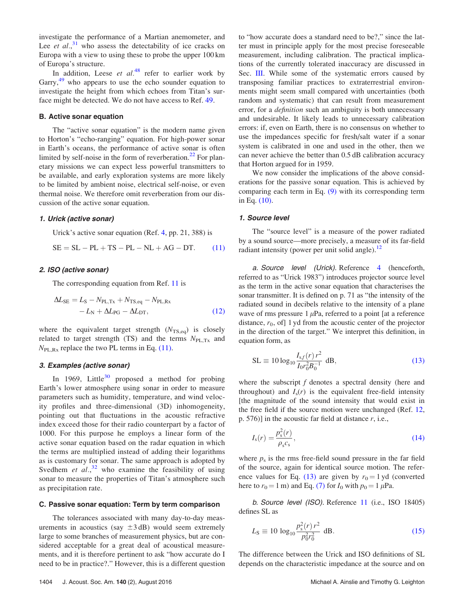<span id="page-4-0"></span>investigate the performance of a Martian anemometer, and Lee et  $al$ ,<sup>[31](#page-17-0)</sup> who assess the detectability of ice cracks on Europa with a view to using these to probe the upper 100 km of Europa's structure.

In addition, Leese et  $al^{48}$  $al^{48}$  $al^{48}$  refer to earlier work by Garry,<sup>[49](#page-17-0)</sup> who appears to use the echo sounder equation to investigate the height from which echoes from Titan's surface might be detected. We do not have access to Ref. [49](#page-17-0).

# B. Active sonar equation

The "active sonar equation" is the modern name given to Horton's "echo-ranging" equation. For high-power sonar in Earth's oceans, the performance of active sonar is often limited by self-noise in the form of reverberation.<sup>[22](#page-17-0)</sup> For planetary missions we can expect less powerful transmitters to be available, and early exploration systems are more likely to be limited by ambient noise, electrical self-noise, or even thermal noise. We therefore omit reverberation from our discussion of the active sonar equation.

# 1. Urick (active sonar)

Urick's active sonar equation (Ref. [4,](#page-16-0) pp. 21, 388) is

$$
SE = SL - PL + TS - PL - NL + AG - DT.
$$
 (11)

# 2. ISO (active sonar)

The corresponding equation from Ref. [11](#page-17-0) is

$$
\Delta L_{\rm SE} = L_{\rm S} - N_{\rm PL, Tx} + N_{\rm TS, eq} - N_{\rm PL, Rx}
$$

$$
-L_{\rm N} + \Delta L_{\rm PG} - \Delta L_{\rm DT}, \qquad (12)
$$

where the equivalent target strength  $(N_{TS,eq})$  is closely related to target strength (TS) and the terms  $N_{\text{PL,Tx}}$  and  $N_{\text{PL,Rx}}$  replace the two PL terms in Eq. (11).

# 3. Examples (active sonar)

In 1969, Little $30$  proposed a method for probing Earth's lower atmosphere using sonar in order to measure parameters such as humidity, temperature, and wind velocity profiles and three-dimensional (3D) inhomogeneity, pointing out that fluctuations in the acoustic refractive index exceed those for their radio counterpart by a factor of 1000. For this purpose he employs a linear form of the active sonar equation based on the radar equation in which the terms are multiplied instead of adding their logarithms as is customary for sonar. The same approach is adopted by Svedhem et  $al.$ <sup>[32](#page-17-0)</sup> who examine the feasibility of using sonar to measure the properties of Titan's atmosphere such as precipitation rate.

#### C. Passive sonar equation: Term by term comparison

The tolerances associated with many day-to-day measurements in acoustics (say  $\pm 3$  dB) would seem extremely large to some branches of measurement physics, but are considered acceptable for a great deal of acoustical measurements, and it is therefore pertinent to ask "how accurate do I need to be in practice?." However, this is a different question to "how accurate does a standard need to be?," since the latter must in principle apply for the most precise foreseeable measurement, including calibration. The practical implications of the currently tolerated inaccuracy are discussed in Sec. [III](#page-9-0). While some of the systematic errors caused by transposing familiar practices to extraterrestrial environments might seem small compared with uncertainties (both random and systematic) that can result from measurement error, for a *definition* such an ambiguity is both unnecessary and undesirable. It likely leads to unnecessary calibration errors: if, even on Earth, there is no consensus on whether to use the impedances specific for fresh/salt water if a sonar system is calibrated in one and used in the other, then we can never achieve the better than 0.5 dB calibration accuracy that Horton argued for in 1959.

We now consider the implications of the above considerations for the passive sonar equation. This is achieved by comparing each term in Eq. [\(9\)](#page-3-0) with its corresponding term in Eq. [\(10\)](#page-3-0).

#### 1. Source level

The "source level" is a measure of the power radiated by a sound source—more precisely, a measure of its far-field radiant intensity (power per unit solid angle).<sup>[12](#page-17-0)</sup>

a. Source level (Urick). Reference [4](#page-16-0) (henceforth, referred to as "Urick 1983") introduces projector source level as the term in the active sonar equation that characterises the sonar transmitter. It is defined on p. 71 as "the intensity of the radiated sound in decibels relative to the intensity of a plane wave of rms pressure  $1 \mu Pa$ , referred to a point [at a reference distance,  $r_0$ , of] 1 yd from the acoustic center of the projector in the direction of the target." We interpret this definition, in equation form, as

$$
SL \equiv 10 \log_{10} \frac{I_{sf}(r) r^2}{I_0 r_0^2 B_0^{-1}} dB,
$$
\n(13)

where the subscript  $f$  denotes a spectral density (here and throughout) and  $I_s(r)$  is the equivalent free-field intensity [the magnitude of the sound intensity that would exist in the free field if the source motion were unchanged (Ref. [12,](#page-17-0) p. 576)] in the acoustic far field at distance  $r$ , i.e.,

$$
I_{\rm s}(r) = \frac{p_{\rm s}^2(r)}{\rho_{\rm s}c_{\rm s}},\tag{14}
$$

where  $p_s$  is the rms free-field sound pressure in the far field of the source, again for identical source motion. The reference values for Eq. (13) are given by  $r_0 = 1$  yd (converted here to  $r_0 = 1$  m) and Eq. [\(7\)](#page-3-0) for  $I_0$  with  $p_0 = 1 \mu$ Pa.

b. Source level (ISO). Reference [11](#page-17-0) (i.e., ISO 18405) defines SL as

$$
L_{\rm S} \equiv 10 \, \log_{10} \frac{p_{\rm s}^2(r) \, r^2}{p_0^2 r_0^2} \, \text{dB.} \tag{15}
$$

The difference between the Urick and ISO definitions of SL depends on the characteristic impedance at the source and on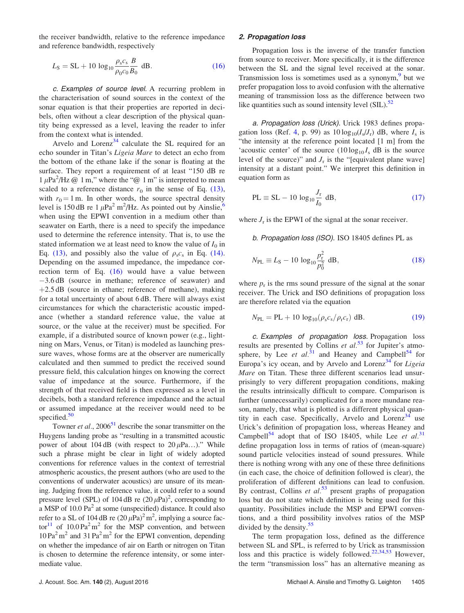<span id="page-5-0"></span>the receiver bandwidth, relative to the reference impedance and reference bandwidth, respectively

$$
L_{\rm S} = \rm SL + 10 \, \log_{10} \frac{\rho_{\rm s} c_{\rm s}}{\rho_0 c_0 B_0} \, \, \rm dB. \tag{16}
$$

c. Examples of source level. A recurring problem in the characterisation of sound sources in the context of the sonar equation is that their properties are reported in decibels, often without a clear description of the physical quantity being expressed as a level, leaving the reader to infer from the context what is intended.

Arvelo and Lorenz<sup>[34](#page-17-0)</sup> calculate the SL required for an echo sounder in Titan's Ligeia Mare to detect an echo from the bottom of the ethane lake if the sonar is floating at the surface. They report a requirement of at least "150 dB re  $1 \mu\text{Pa}^2/\text{Hz}$  @ 1 m," where the "@ 1 m" is interpreted to mean scaled to a reference distance  $r_0$  in the sense of Eq. [\(13\)](#page-4-0), with  $r_0 = 1$  m. In other words, the source spectral density level is 150 dB re 1  $\mu$ Pa<sup>2</sup> m<sup>2</sup>/Hz. As pointed out by Ainslie,<sup>[6](#page-17-0)</sup> when using the EPWI convention in a medium other than seawater on Earth, there is a need to specify the impedance used to determine the reference intensity. That is, to use the stated information we at least need to know the value of  $I_0$  in Eq. [\(13\)](#page-4-0), and possibly also the value of  $\rho_s c_s$  in Eq. [\(14\).](#page-4-0) Depending on the assumed impedance, the impedance correction term of Eq. (16) would have a value between -3.6 dB (source in methane; reference of seawater) and  $+2.5$  dB (source in ethane; reference of methane), making for a total uncertainty of about 6 dB. There will always exist circumstances for which the characteristic acoustic impedance (whether a standard reference value, the value at source, or the value at the receiver) must be specified. For example, if a distributed source of known power (e.g., lightning on Mars, Venus, or Titan) is modeled as launching pressure waves, whose forms are at the observer are numerically calculated and then summed to predict the received sound pressure field, this calculation hinges on knowing the correct value of impedance at the source. Furthermore, if the strength of that received field is then expressed as a level in decibels, both a standard reference impedance and the actual or assumed impedance at the receiver would need to be specified.<sup>[50](#page-17-0)</sup>

Towner *et al.*,  $2006<sup>51</sup>$  describe the sonar transmitter on the Huygens landing probe as "resulting in a transmitted acoustic power of about 104 dB (with respect to  $20 \mu \text{Pa}...$ )." While such a phrase might be clear in light of widely adopted conventions for reference values in the context of terrestrial atmospheric acoustics, the present authors (who are used to the conventions of underwater acoustics) are unsure of its meaning. Judging from the reference value, it could refer to a sound pressure level (SPL) of 104 dB re  $(20 \,\mu\text{Pa})^2$ , corresponding to a MSP of  $10.0$  Pa<sup>2</sup> at some (unspecified) distance. It could also refer to a SL of 104 dB re  $(20 \,\mu\text{Pa})^2 \text{m}^2$ , implying a source factor $11$  of  $10.0$   $Pa<sup>2</sup> m<sup>2</sup>$  for the MSP convention, and between  $10 \text{ Pa}^2 \text{ m}^2$  and  $31 \text{ Pa}^2 \text{ m}^2$  for the EPWI convention, depending on whether the impedance of air on Earth or nitrogen on Titan is chosen to determine the reference intensity, or some intermediate value.

# 2. Propagation loss

Propagation loss is the inverse of the transfer function from source to receiver. More specifically, it is the difference between the SL and the signal level received at the sonar. Transmission loss is sometimes used as a synonym,<sup>[9](#page-17-0)</sup> but we prefer propagation loss to avoid confusion with the alternative meaning of transmission loss as the difference between two like quantities such as sound intensity level  $(SIL)$ .<sup>[52](#page-17-0)</sup>

a. Propagation loss (Urick). Urick 1983 defines propa-gation loss (Ref. [4](#page-16-0), p. 99) as  $10 \log_{10}(I_s/J_r)$  dB, where  $I_s$  is "the intensity at the reference point located [1 m] from the 'acoustic center' of the source  $(10 \log_{10} I_s \, dB)$  is the source level of the source)" and  $J_r$  is the "[equivalent plane wave] intensity at a distant point." We interpret this definition in equation form as

$$
PL \equiv SL - 10 \log_{10} \frac{J_r}{I_0} dB,
$$
\n(17)

where  $J_r$  is the EPWI of the signal at the sonar receiver.

b. Propagation loss (ISO). ISO 18405 defines PL as

$$
N_{\rm PL} \equiv L_{\rm S} - 10 \log_{10} \frac{p_{\rm r}^2}{p_0^2} \, \mathrm{dB},\tag{18}
$$

where  $p_r$  is the rms sound pressure of the signal at the sonar receiver. The Urick and ISO definitions of propagation loss are therefore related via the equation

$$
N_{\rm PL} = \rm PL + 10 \, \log_{10} (\rho_s c_s / \rho_r c_r) \, \, dB. \tag{19}
$$

c. Examples of propagation loss. Propagation loss results are presented by Collins et  $al$ <sup>[53](#page-17-0)</sup> for Jupiter's atmosphere, by Lee et  $al.\overline{31}$  $al.\overline{31}$  $al.\overline{31}$  and Heaney and Campbell<sup>[54](#page-17-0)</sup> for Europa's icy ocean, and by Arvelo and Lorenz<sup>[34](#page-17-0)</sup> for *Ligeia* Mare on Titan. These three different scenarios lead unsurprisingly to very different propagation conditions, making the results intrinsically difficult to compare. Comparison is further (unnecessarily) complicated for a more mundane reason, namely, that what is plotted is a different physical quan-tity in each case. Specifically, Arvelo and Lorenz<sup>[34](#page-17-0)</sup> use Urick's definition of propagation loss, whereas Heaney and Campbell<sup>[54](#page-17-0)</sup> adopt that of ISO 18405, while Lee et al.<sup>[31](#page-17-0)</sup> define propagation loss in terms of ratios of (mean-square) sound particle velocities instead of sound pressures. While there is nothing wrong with any one of these three definitions (in each case, the choice of definition followed is clear), the proliferation of different definitions can lead to confusion. By contrast, Collins et  $al$ <sup>[53](#page-17-0)</sup> present graphs of propagation loss but do not state which definition is being used for this quantity. Possibilities include the MSP and EPWI conventions, and a third possibility involves ratios of the MSP divided by the density. $55$ 

The term propagation loss, defined as the difference between SL and SPL, is referred to by Urick as transmission loss and this practice is widely followed.<sup>[22](#page-17-0),[34,53](#page-17-0)</sup> However, the term "transmission loss" has an alternative meaning as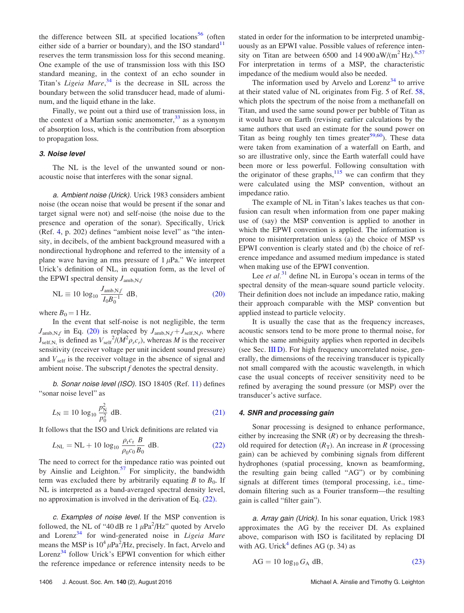<span id="page-6-0"></span>the difference between SIL at specified locations<sup>[56](#page-17-0)</sup> (often either side of a barrier or boundary), and the ISO standard $11$ reserves the term transmission loss for this second meaning. One example of the use of transmission loss with this ISO standard meaning, in the context of an echo sounder in Titan's *Ligeia Mare*,  $34$  is the decrease in SIL across the boundary between the solid transducer head, made of aluminum, and the liquid ethane in the lake.

Finally, we point out a third use of transmission loss, in the context of a Martian sonic anemometer,  $33$  as a synonym of absorption loss, which is the contribution from absorption to propagation loss.

# 3. Noise level

The NL is the level of the unwanted sound or nonacoustic noise that interferes with the sonar signal.

a. Ambient noise (Urick). Urick 1983 considers ambient noise (the ocean noise that would be present if the sonar and target signal were not) and self-noise (the noise due to the presence and operation of the sonar). Specifically, Urick (Ref. [4](#page-16-0), p. 202) defines "ambient noise level" as "the intensity, in decibels, of the ambient background measured with a nondirectional hydrophone and referred to the intensity of a plane wave having an rms pressure of  $1 \mu Pa$ ." We interpret Urick's definition of NL, in equation form, as the level of the EPWI spectral density  $J_{amb.N.f}$ 

$$
NL \equiv 10 \log_{10} \frac{J_{\text{amb},N,f}}{I_0 B_0^{-1}} \text{ dB}, \qquad (20)
$$

where  $B_0 = 1$  Hz.

In the event that self-noise is not negligible, the term  $J_{\text{amb,Nf}}$  in Eq. (20) is replaced by  $J_{\text{amb,Nf}}+J_{\text{self,Nf}}$ , where  $J_{\text{self,N}}$ , is defined as  $V_{\text{self}}^2/(M^2 \rho_r c_r)$ , whereas M is the receiver sensitivity (receiver voltage per unit incident sound pressure) and  $V_{\text{self}}$  is the receiver voltage in the absence of signal and ambient noise. The subscript f denotes the spectral density.

b. Sonar noise level (ISO). ISO 18405 (Ref. [11\)](#page-17-0) defines "sonar noise level" as

$$
L_{\rm N} \equiv 10 \, \log_{10} \frac{p_{\rm N}^2}{p_0^2} \, \text{dB.} \tag{21}
$$

It follows that the ISO and Urick definitions are related via

$$
L_{\rm NL} = \text{NL} + 10 \log_{10} \frac{\rho_{\rm r} c_{\rm r}}{\rho_0 c_0 B_0} \text{ dB.}
$$
 (22)

The need to correct for the impedance ratio was pointed out by Ainslie and Leighton.<sup>[57](#page-18-0)</sup> For simplicity, the bandwidth term was excluded there by arbitrarily equating  $B$  to  $B_0$ . If NL is interpreted as a band-averaged spectral density level, no approximation is involved in the derivation of Eq. (22).

c. Examples of noise level. If the MSP convention is followed, the NL of "40 dB re  $1 \mu Pa^2/Hz$ " quoted by Arvelo and Lorenz<sup>[34](#page-17-0)</sup> for wind-generated noise in *Ligeia Mare* means the MSP is  $10^4 \mu Pa^2/Hz$ , precisely. In fact, Arvelo and Lorenz $34$  follow Urick's EPWI convention for which either the reference impedance or reference intensity needs to be stated in order for the information to be interpreted unambiguously as an EPWI value. Possible values of reference inten-sity on Titan are between [6](#page-17-0)500 and  $14\,900\,\mathrm{aW/(m^2\,Hz)}$ .<sup>6,[57](#page-18-0)</sup> For interpretation in terms of a MSP, the characteristic impedance of the medium would also be needed.

The information used by Arvelo and Lorenz $34$  to arrive at their stated value of NL originates from Fig. 5 of Ref. [58,](#page-18-0) which plots the spectrum of the noise from a methanefall on Titan, and used the same sound power per bubble of Titan as it would have on Earth (revising earlier calculations by the same authors that used an estimate for the sound power on Titan as being roughly ten times greater $59,60$ ). These data were taken from examination of a waterfall on Earth, and so are illustrative only, since the Earth waterfall could have been more or less powerful. Following consultation with the originator of these graphs, $115$  we can confirm that they were calculated using the MSP convention, without an impedance ratio.

The example of NL in Titan's lakes teaches us that confusion can result when information from one paper making use of (say) the MSP convention is applied to another in which the EPWI convention is applied. The information is prone to misinterpretation unless (a) the choice of MSP vs EPWI convention is clearly stated and (b) the choice of reference impedance and assumed medium impedance is stated when making use of the EPWI convention.

Lee *et al.*<sup>[31](#page-17-0)</sup> define NL in Europa's ocean in terms of the spectral density of the mean-square sound particle velocity. Their definition does not include an impedance ratio, making their approach comparable with the MSP convention but applied instead to particle velocity.

It is usually the case that as the frequency increases, acoustic sensors tend to be more prone to thermal noise, for which the same ambiguity applies when reported in decibels (see Sec. [III D](#page-14-0)). For high frequency uncorrelated noise, generally, the dimensions of the receiving transducer is typically not small compared with the acoustic wavelength, in which case the usual concepts of receiver sensitivity need to be refined by averaging the sound pressure (or MSP) over the transducer's active surface.

# 4. SNR and processing gain

Sonar processing is designed to enhance performance, either by increasing the SNR  $(R)$  or by decreasing the threshold required for detection  $(R<sub>T</sub>)$ . An increase in R (processing gain) can be achieved by combining signals from different hydrophones (spatial processing, known as beamforming, the resulting gain being called "AG") or by combining signals at different times (temporal processing, i.e., timedomain filtering such as a Fourier transform—the resulting gain is called "filter gain").

a. Array gain (Urick). In his sonar equation, Urick 1983 approximates the AG by the receiver DI. As explained above, comparison with ISO is facilitated by replacing DI with AG. Urick<sup>[4](#page-16-0)</sup> defines AG (p. 34) as

$$
AG = 10 \log_{10} G_A dB,
$$
\n(23)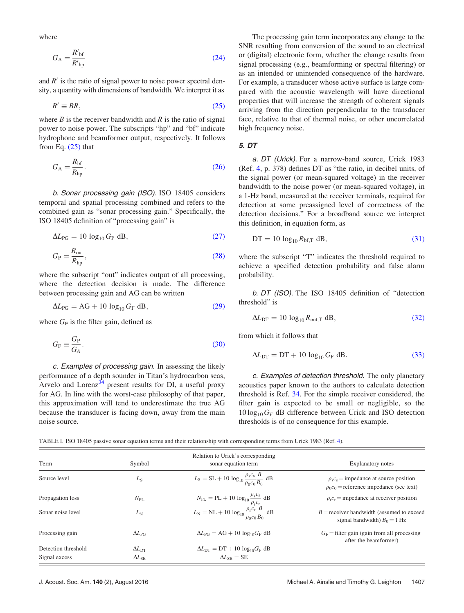<span id="page-7-0"></span>where

$$
G_{\rm A} = \frac{R'_{\rm bf}}{R'_{\rm hp}}\tag{24}
$$

and  $R<sup>'</sup>$  is the ratio of signal power to noise power spectral density, a quantity with dimensions of bandwidth. We interpret it as

$$
R' \equiv BR,\tag{25}
$$

where  $B$  is the receiver bandwidth and  $R$  is the ratio of signal power to noise power. The subscripts "hp" and "bf" indicate hydrophone and beamformer output, respectively. It follows from Eq.  $(25)$  that

$$
G_{\rm A} = \frac{R_{\rm bf}}{R_{\rm hp}}.\tag{26}
$$

b. Sonar processing gain (ISO). ISO 18405 considers temporal and spatial processing combined and refers to the combined gain as "sonar processing gain." Specifically, the ISO 18405 definition of "processing gain" is

$$
\Delta L_{PG} = 10 \log_{10} G_P \, \text{dB},\tag{27}
$$

$$
G_{\rm P} = \frac{R_{\rm out}}{R_{\rm hp}},\tag{28}
$$

where the subscript "out" indicates output of all processing, where the detection decision is made. The difference between processing gain and AG can be written

$$
\Delta L_{\rm PG} = \text{AG} + 10 \log_{10} G_{\rm F} \text{ dB},\tag{29}
$$

where  $G_F$  is the filter gain, defined as

$$
G_{\rm F} \equiv \frac{G_{\rm P}}{G_A}.\tag{30}
$$

c. Examples of processing gain. In assessing the likely performance of a depth sounder in Titan's hydrocarbon seas, Arvelo and Lorenz<sup>[34](#page-17-0)</sup> present results for DI, a useful proxy for AG. In line with the worst-case philosophy of that paper, this approximation will tend to underestimate the true AG because the transducer is facing down, away from the main noise source.

The processing gain term incorporates any change to the SNR resulting from conversion of the sound to an electrical or (digital) electronic form, whether the change results from signal processing (e.g., beamforming or spectral filtering) or as an intended or unintended consequence of the hardware. For example, a transducer whose active surface is large compared with the acoustic wavelength will have directional properties that will increase the strength of coherent signals arriving from the direction perpendicular to the transducer face, relative to that of thermal noise, or other uncorrelated high frequency noise.

# 5. DT

a. DT (Urick). For a narrow-band source, Urick 1983 (Ref. [4](#page-16-0), p. 378) defines DT as "the ratio, in decibel units, of the signal power (or mean-squared voltage) in the receiver bandwidth to the noise power (or mean-squared voltage), in a 1-Hz band, measured at the receiver terminals, required for detection at some preassigned level of correctness of the detection decisions." For a broadband source we interpret this definition, in equation form, as

$$
DT = 10 \log_{10} R_{\text{bf},T} \, dB,
$$
\n(31)

where the subscript "T" indicates the threshold required to achieve a specified detection probability and false alarm probability.

b. DT (ISO). The ISO 18405 definition of "detection threshold" is

$$
\Delta L_{\text{DT}} = 10 \log_{10} R_{\text{out,T}} \text{ dB},\tag{32}
$$

from which it follows that

$$
\Delta L_{\text{DT}} = \text{DT} + 10 \log_{10} G_{\text{F}} \text{ dB}.
$$
\n(33)

c. Examples of detection threshold. The only planetary acoustics paper known to the authors to calculate detection threshold is Ref. [34](#page-17-0). For the simple receiver considered, the filter gain is expected to be small or negligible, so the  $10 \log_{10} G_F$  dB difference between Urick and ISO detection thresholds is of no consequence for this example.

TABLE I. ISO 18405 passive sonar equation terms and their relationship with corresponding terms from Urick 1983 (Ref. [4](#page-16-0)).

| Term                                 | Symbol                                     | Relation to Urick's corresponding<br>sonar equation term                                                                                                                                                               | <b>Explanatory notes</b>                                                                     |  |
|--------------------------------------|--------------------------------------------|------------------------------------------------------------------------------------------------------------------------------------------------------------------------------------------------------------------------|----------------------------------------------------------------------------------------------|--|
| Source level                         | $L_{\rm S}$                                | $L_S = SL + 10 \log_{10} \frac{\rho_s c_s}{\rho_o c_o} \frac{B}{B_o}$ dB                                                                                                                                               | $\rho_s c_s$ = impedance at source position<br>$\rho_0 c_0$ = reference impedance (see text) |  |
| Propagation loss                     | $N_{\rm PL}$                               |                                                                                                                                                                                                                        | $\rho_{r}c_{r}$ = impedance at receiver position                                             |  |
| Sonar noise level                    | $L_{\rm N}$                                | $N_{\text{PL}} = \text{PL} + 10 \log_{10} \frac{\rho_{\text{s}} C_{\text{s}}}{\rho_{\text{r}} C_{\text{r}}}$<br>$L_{\text{N}} = \text{NL} + 10 \log_{10} \frac{\rho_{\text{r}} C_{\text{r}}}{\rho_{0} C_{0} B_{0}}$ dB | $B$ = receiver bandwidth (assumed to exceed<br>signal bandwidth) $B_0 = 1$ Hz                |  |
| Processing gain                      | $\Delta L_{\rm PG}$                        | $\Delta L_{\text{PG}} = \text{AG} + 10 \log_{10} G_{\text{F}}$ dB                                                                                                                                                      | $G_F$ = filter gain (gain from all processing<br>after the beamformer)                       |  |
| Detection threshold<br>Signal excess | $\Delta L_{\rm DT}$<br>$\Delta L_{\rm SE}$ | $\Delta L_{\text{DT}} = DT + 10 \log_{10} G_{\text{F}}$ dB<br>$\Delta L_{\rm SF} =$ SE                                                                                                                                 |                                                                                              |  |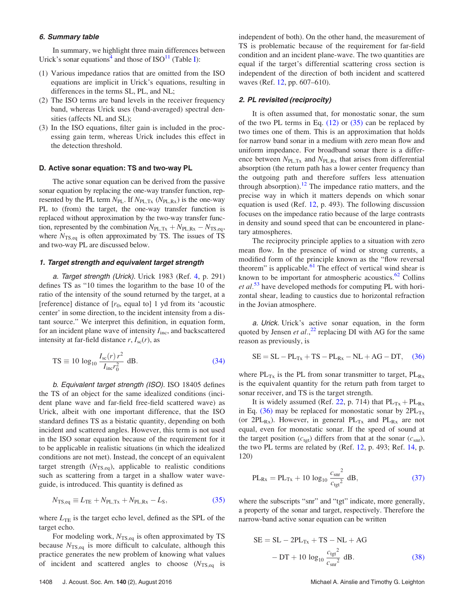# <span id="page-8-0"></span>6. Summary table

In summary, we highlight three main differences between Urick's sonar equations<sup>[4](#page-16-0)</sup> and those of  $ISO<sup>11</sup>$  (Table [I\)](#page-7-0):

- (1) Various impedance ratios that are omitted from the ISO equations are implicit in Urick's equations, resulting in differences in the terms SL, PL, and NL;
- (2) The ISO terms are band levels in the receiver frequency band, whereas Urick uses (band-averaged) spectral densities (affects NL and SL);
- (3) In the ISO equations, filter gain is included in the processing gain term, whereas Urick includes this effect in the detection threshold.

#### D. Active sonar equation: TS and two-way PL

The active sonar equation can be derived from the passive sonar equation by replacing the one-way transfer function, represented by the PL term  $N_{PL}$ . If  $N_{PL,Tx}$  ( $N_{PL,Rx}$ ) is the one-way PL to (from) the target, the one-way transfer function is replaced without approximation by the two-way transfer function, represented by the combination  $N_{\text{PL,Tx}} + N_{\text{PL,Rx}} - N_{\text{TS,eq}}$ , where  $N_{TS,eq}$  is often approximated by TS. The issues of TS and two-way PL are discussed below.

# 1. Target strength and equivalent target strength

a. Target strength (Urick). Urick 1983 (Ref. [4](#page-16-0), p. 291) defines TS as "10 times the logarithm to the base 10 of the ratio of the intensity of the sound returned by the target, at a [reference] distance of  $[r_0,$  equal to] 1 yd from its 'acoustic center' in some direction, to the incident intensity from a distant source." We interpret this definition, in equation form, for an incident plane wave of intensity  $I_{\text{inc}}$ , and backscattered intensity at far-field distance  $r, I<sub>sc</sub>(r)$ , as

$$
TS \equiv 10 \log_{10} \frac{I_{\rm sc}(r) r^2}{I_{\rm inc} r_0^2} \text{ dB.}
$$
 (34)

b. Equivalent target strength (ISO). ISO 18405 defines the TS of an object for the same idealized conditions (incident plane wave and far-field free-field scattered wave) as Urick, albeit with one important difference, that the ISO standard defines TS as a bistatic quantity, depending on both incident and scattered angles. However, this term is not used in the ISO sonar equation because of the requirement for it to be applicable in realistic situations (in which the idealized conditions are not met). Instead, the concept of an equivalent target strength  $(N_{TS,eq})$ , applicable to realistic conditions such as scattering from a target in a shallow water waveguide, is introduced. This quantity is defined as

$$
N_{\text{TS,eq}} \equiv L_{\text{TE}} + N_{\text{PL,Tx}} + N_{\text{PL,Rx}} - L_{\text{S}},\tag{35}
$$

where  $L_{\text{TE}}$  is the target echo level, defined as the SPL of the target echo.

For modeling work,  $N_{TS,eq}$  is often approximated by TS because  $N_{TS,eq}$  is more difficult to calculate, although this practice generates the new problem of knowing what values of incident and scattered angles to choose  $(N_{TS,eq}$  is independent of both). On the other hand, the measurement of TS is problematic because of the requirement for far-field condition and an incident plane-wave. The two quantities are equal if the target's differential scattering cross section is independent of the direction of both incident and scattered waves (Ref. [12](#page-17-0), pp. 607–610).

#### 2. PL revisited (reciprocity)

It is often assumed that, for monostatic sonar, the sum of the two PL terms in Eq.  $(12)$  or  $(35)$  can be replaced by two times one of them. This is an approximation that holds for narrow band sonar in a medium with zero mean flow and uniform impedance. For broadband sonar there is a difference between  $N_{PL,Tx}$  and  $N_{PL,Rx}$  that arises from differential absorption (the return path has a lower center frequency than the outgoing path and therefore suffers less attenuation through absorption).<sup>[12](#page-17-0)</sup> The impedance ratio matters, and the precise way in which it matters depends on which sonar equation is used (Ref. [12,](#page-17-0) p. 493). The following discussion focuses on the impedance ratio because of the large contrasts in density and sound speed that can be encountered in planetary atmospheres.

The reciprocity principle applies to a situation with zero mean flow. In the presence of wind or strong currents, a modified form of the principle known as the "flow reversal theorem" is applicable. $61$  The effect of vertical wind shear is known to be important for atmospheric acoustics. $62$  Collins *et al.*<sup>[53](#page-17-0)</sup> have developed methods for computing PL with horizontal shear, leading to caustics due to horizontal refraction in the Jovian atmosphere.

a. Urick. Urick's active sonar equation, in the form quoted by Jensen et al.,<sup>[22](#page-17-0)</sup> replacing DI with AG for the same reason as previously, is

$$
SE = SL - PL_{Tx} + TS - PL_{Rx} - NL + AG - DT, \quad (36)
$$

where  $PL_{Tx}$  is the PL from sonar transmitter to target,  $PL_{Rx}$ is the equivalent quantity for the return path from target to sonar receiver, and TS is the target strength.

It is widely assumed (Ref. [22](#page-17-0), p. 714) that  $PL_{Tx} + PL_{Rx}$ in Eq. (36) may be replaced for monostatic sonar by  $2PL_{Tx}$ (or  $2PL_{Rx}$ ). However, in general  $PL_{Tx}$  and  $PL_{Rx}$  are not equal, even for monostatic sonar. If the speed of sound at the target position ( $c_{\text{tgt}}$ ) differs from that at the sonar ( $c_{\text{snr}}$ ), the two PL terms are related by (Ref. [12,](#page-17-0) p. 493; Ref. [14](#page-17-0), p. 120)

$$
PL_{Rx} = PL_{Tx} + 10 \log_{10} \frac{c_{snr}^2}{c_{tgt}^2} dB,
$$
\n(37)

where the subscripts "snr" and "tgt" indicate, more generally, a property of the sonar and target, respectively. Therefore the narrow-band active sonar equation can be written

$$
SE = SL - 2PL_{Tx} + TS - NL + AG
$$

$$
- DT + 10 \log_{10} \frac{c_{tgt}^{2}}{c_{snr}^{2}} dB.
$$
(38)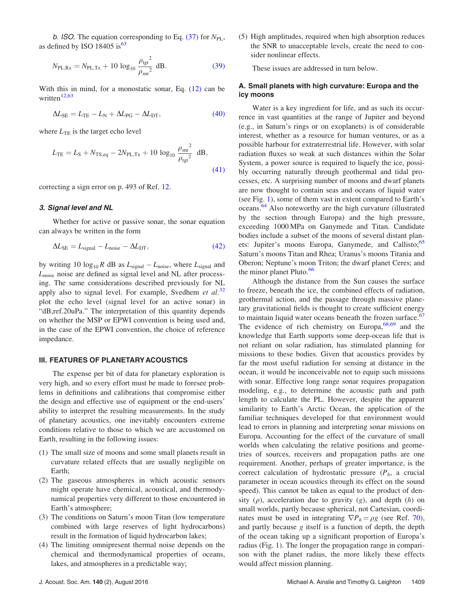<span id="page-9-0"></span>b. ISO. The equation corresponding to Eq.  $(37)$  for  $N_{PL}$ , as defined by ISO 18405 is  $63$ 

$$
N_{\rm PL,Rx} = N_{\rm PL,Tx} + 10 \log_{10} \frac{\rho_{\rm tgt}^2}{\rho_{\rm snr}^2} \, \text{dB.} \tag{39}
$$

With this in mind, for a monostatic sonar, Eq. [\(12\)](#page-4-0) can be written $12,63$  $12,63$ 

$$
\Delta L_{\rm SE} = L_{\rm TE} - L_{\rm N} + \Delta L_{\rm PG} - \Delta L_{\rm DT},\tag{40}
$$

where  $L_{\text{TE}}$  is the target echo level

$$
L_{\rm TE} = L_{\rm S} + N_{\rm TS, eq} - 2N_{\rm PL, Tx} + 10 \log_{10} \frac{\rho_{\rm snr}^2}{\rho_{\rm tgt}^2} \, \text{dB},\tag{41}
$$

correcting a sign error on p. 493 of Ref. [12](#page-17-0).

# 3. Signal level and NL

Whether for active or passive sonar, the sonar equation can always be written in the form

$$
\Delta L_{\rm SE} = L_{\rm signal} - L_{\rm noise} - \Delta L_{\rm DT},\tag{42}
$$

by writing 10  $\log_{10} R$  dB as  $L_{\text{signal}} - L_{\text{noise}}$ , where  $L_{\text{signal}}$  and  $L_{\text{noise}}$  noise are defined as signal level and NL after processing. The same considerations described previously for NL apply also to signal level. For example, Svedhem et  $al$ .<sup>[32](#page-17-0)</sup> plot the echo level (signal level for an active sonar) in "dB,ref.20uPa." The interpretation of this quantity depends on whether the MSP or EPWI convention is being used and, in the case of the EPWI convention, the choice of reference impedance.

## III. FEATURES OF PLANETARY ACOUSTICS

The expense per bit of data for planetary exploration is very high, and so every effort must be made to foresee problems in definitions and calibrations that compromise either the design and effective use of equipment or the end-users' ability to interpret the resulting measurements. In the study of planetary acoustics, one inevitably encounters extreme conditions relative to those to which we are accustomed on Earth, resulting in the following issues:

- (1) The small size of moons and some small planets result in curvature related effects that are usually negligible on Earth;
- (2) The gaseous atmospheres in which acoustic sensors might operate have chemical, acoustical, and thermodynamical properties very different to those encountered in Earth's atmosphere;
- (3) The conditions on Saturn's moon Titan (low temperature combined with large reserves of light hydrocarbons) result in the formation of liquid hydrocarbon lakes;
- (4) The limiting omnipresent thermal noise depends on the chemical and thermodynamical properties of oceans, lakes, and atmospheres in a predictable way;

(5) High amplitudes, required when high absorption reduces the SNR to unacceptable levels, create the need to consider nonlinear effects.

These issues are addressed in turn below.

# A. Small planets with high curvature: Europa and the icy moons

Water is a key ingredient for life, and as such its occurrence in vast quantities at the range of Jupiter and beyond (e.g., in Saturn's rings or on exoplanets) is of considerable interest, whether as a resource for human ventures, or as a possible harbour for extraterrestrial life. However, with solar radiation fluxes so weak at such distances within the Solar System, a power source is required to liquefy the ice, possibly occurring naturally through geothermal and tidal processes, etc. A surprising number of moons and dwarf planets are now thought to contain seas and oceans of liquid water (see Fig. [1](#page-10-0)), some of them vast in extent compared to Earth's oceans.<sup>[64](#page-18-0)</sup> Also noteworthy are the high curvature (illustrated by the section through Europa) and the high pressure, exceeding 1000 MPa on Ganymede and Titan. Candidate bodies include a subset of the moons of several distant plan-ets: Jupiter's moons Europa, Ganymede, and Callisto;<sup>[65](#page-18-0)</sup> Saturn's moons Titan and Rhea; Uranus's moons Titania and Oberon; Neptune's moon Triton; the dwarf planet Ceres; and the minor planet Pluto.<sup>66</sup>

Although the distance from the Sun causes the surface to freeze, beneath the ice, the combined effects of radiation, geothermal action, and the passage through massive planetary gravitational fields is thought to create sufficient energy to maintain liquid water oceans beneath the frozen surface.<sup>[67](#page-18-0)</sup> The evidence of rich chemistry on Europa, $68,69$  and the knowledge that Earth supports some deep-ocean life that is not reliant on solar radiation, has stimulated planning for missions to these bodies. Given that acoustics provides by far the most useful radiation for sensing at distance in the ocean, it would be inconceivable not to equip such missions with sonar. Effective long range sonar requires propagation modeling, e.g., to determine the acoustic path and path length to calculate the PL. However, despite the apparent similarity to Earth's Arctic Ocean, the application of the familiar techniques developed for that environment would lead to errors in planning and interpreting sonar missions on Europa. Accounting for the effect of the curvature of small worlds when calculating the relative positions and geometries of sources, receivers and propagation paths are one requirement. Another, perhaps of greater importance, is the correct calculation of hydrostatic pressure  $(P_h)$ , a crucial parameter in ocean acoustics through its effect on the sound speed). This cannot be taken as equal to the product of density  $(\rho)$ , acceleration due to gravity  $(g)$ , and depth  $(h)$  on small worlds, partly because spherical, not Cartesian, coordinates must be used in integrating  $\nabla P_h = \rho g$  (see Ref. [70\)](#page-18-0), and partly because g itself is a function of depth, the depth of the ocean taking up a significant proportion of Europa's radius (Fig. [1\)](#page-10-0). The longer the propagation range in comparison with the planet radius, the more likely these effects would affect mission planning.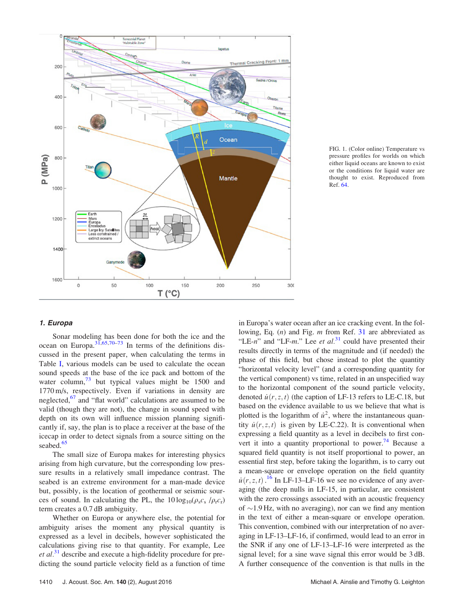<span id="page-10-0"></span>

FIG. 1. (Color online) Temperature vs pressure profiles for worlds on which either liquid oceans are known to exist or the conditions for liquid water are thought to exist. Reproduced from Ref. [64](#page-18-0).

# 1. Europa

Sonar modeling has been done for both the ice and the ocean on Europa. $31,65,70-73$  In terms of the definitions discussed in the present paper, when calculating the terms in Table [I](#page-7-0), various models can be used to calculate the ocean sound speeds at the base of the ice pack and bottom of the water column, $73$  but typical values might be 1500 and 1770 m/s, respectively. Even if variations in density are neglected,<sup>[67](#page-18-0)</sup> and "flat world" calculations are assumed to be valid (though they are not), the change in sound speed with depth on its own will influence mission planning significantly if, say, the plan is to place a receiver at the base of the icecap in order to detect signals from a source sitting on the seabed.<sup>65</sup>

The small size of Europa makes for interesting physics arising from high curvature, but the corresponding low pressure results in a relatively small impedance contrast. The seabed is an extreme environment for a man-made device but, possibly, is the location of geothermal or seismic sources of sound. In calculating the PL, the  $10 \log_{10}(\rho_s c_s / \rho_r c_r)$ term creates a 0.7 dB ambiguity.

Whether on Europa or anywhere else, the potential for ambiguity arises the moment any physical quantity is expressed as a level in decibels, however sophisticated the calculations giving rise to that quantity. For example, Lee  $et al.<sup>31</sup>$  $et al.<sup>31</sup>$  $et al.<sup>31</sup>$  describe and execute a high-fidelity procedure for predicting the sound particle velocity field as a function of time in Europa's water ocean after an ice cracking event. In the following, Eq. (n) and Fig. m from Ref. [31](#page-17-0) are abbreviated as "LE-n" and "LF-m." Lee et  $al$ .<sup>[31](#page-17-0)</sup> could have presented their results directly in terms of the magnitude and (if needed) the phase of this field, but chose instead to plot the quantity "horizontal velocity level" (and a corresponding quantity for the vertical component) vs time, related in an unspecified way to the horizontal component of the sound particle velocity, denoted  $\dot{u}(r, z, t)$  (the caption of LF-13 refers to LE-C.18, but based on the evidence available to us we believe that what is plotted is the logarithm of  $\dot{u}^2$ , where the instantaneous quantity  $\dot{u}(r, z, t)$  is given by LE-C.22). It is conventional when expressing a field quantity as a level in decibels to first con-vert it into a quantity proportional to power.<sup>[74](#page-18-0)</sup> Because a squared field quantity is not itself proportional to power, an essential first step, before taking the logarithm, is to carry out a mean-square or envelope operation on the field quantity  $\dot{u}(r, z, t)$ .<sup>[16](#page-17-0)</sup> In LF-13–LF-16 we see no evidence of any averaging (the deep nulls in LF-15, in particular, are consistent with the zero crossings associated with an acoustic frequency of  $\sim$ 1.9 Hz, with no averaging), nor can we find any mention in the text of either a mean-square or envelope operation. This convention, combined with our interpretation of no averaging in LF-13–LF-16, if confirmed, would lead to an error in the SNR if any one of LF-13–LF-16 were interpreted as the signal level; for a sine wave signal this error would be 3 dB. A further consequence of the convention is that nulls in the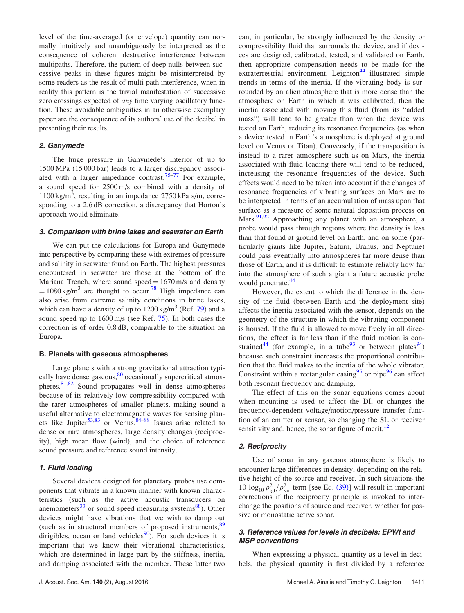level of the time-averaged (or envelope) quantity can normally intuitively and unambiguously be interpreted as the consequence of coherent destructive interference between multipaths. Therefore, the pattern of deep nulls between successive peaks in these figures might be misinterpreted by some readers as the result of multi-path interference, when in reality this pattern is the trivial manifestation of successive zero crossings expected of any time varying oscillatory function. These avoidable ambiguities in an otherwise exemplary paper are the consequence of its authors' use of the decibel in presenting their results.

# 2. Ganymede

The huge pressure in Ganymede's interior of up to 1500 MPa (15 000 bar) leads to a larger discrepancy associ-ated with a larger impedance contrast.<sup>[75](#page-18-0)–[77](#page-18-0)</sup> For example, a sound speed for 2500 m/s combined with a density of  $1100 \text{ kg/m}^3$ , resulting in an impedance 2750 kPa s/m, corresponding to a 2.6 dB correction, a discrepancy that Horton's approach would eliminate.

#### 3. Comparison with brine lakes and seawater on Earth

We can put the calculations for Europa and Ganymede into perspective by comparing these with extremes of pressure and salinity in seawater found on Earth. The highest pressures encountered in seawater are those at the bottom of the Mariana Trench, where sound speed  $= 1670$  m/s and density  $= 1080 \text{ kg/m}^3$  are thought to occur.<sup>78</sup> High impedance can also arise from extreme salinity conditions in brine lakes, which can have a density of up to  $1200 \text{ kg/m}^3$  (Ref. [79](#page-18-0)) and a sound speed up to  $1600 \text{ m/s}$  (see Ref. [75](#page-18-0)). In both cases the correction is of order 0.8 dB, comparable to the situation on Europa.

# B. Planets with gaseous atmospheres

Large planets with a strong gravitational attraction typi-cally have dense gaseous,<sup>[80](#page-18-0)</sup> occasionally supercritical atmos-pheres.<sup>[81,82](#page-18-0)</sup> Sound propagates well in dense atmospheres because of its relatively low compressibility compared with the rarer atmospheres of smaller planets, making sound a useful alternative to electromagnetic waves for sensing plan-ets like Jupiter<sup>[53,](#page-17-0)[83](#page-18-0)</sup> or Venus.<sup>[84–88](#page-18-0)</sup> Issues arise related to dense or rare atmospheres, large density changes (reciprocity), high mean flow (wind), and the choice of reference sound pressure and reference sound intensity.

#### 1. Fluid loading

Several devices designed for planetary probes use components that vibrate in a known manner with known characteristics (such as the active acoustic transducers on anemometers $33$  or sound speed measuring systems $88$ ). Other devices might have vibrations that we wish to damp out (such as in structural members of proposed instruments,  $89$ ) dirigibles, ocean or land vehicles $90$ ). For such devices it is important that we know their vibrational characteristics, which are determined in large part by the stiffness, inertia, and damping associated with the member. These latter two can, in particular, be strongly influenced by the density or compressibility fluid that surrounds the device, and if devices are designed, calibrated, tested, and validated on Earth, then appropriate compensation needs to be made for the  $extraterrestrial environment. Leighthon<sup>44</sup> illustrated simple$  $extraterrestrial environment. Leighthon<sup>44</sup> illustrated simple$  $extraterrestrial environment. Leighthon<sup>44</sup> illustrated simple$ trends in terms of the inertia. If the vibrating body is surrounded by an alien atmosphere that is more dense than the atmosphere on Earth in which it was calibrated, then the inertia associated with moving this fluid (from its "added mass") will tend to be greater than when the device was tested on Earth, reducing its resonance frequencies (as when a device tested in Earth's atmosphere is deployed at ground level on Venus or Titan). Conversely, if the transposition is instead to a rarer atmosphere such as on Mars, the inertia associated with fluid loading there will tend to be reduced, increasing the resonance frequencies of the device. Such effects would need to be taken into account if the changes of resonance frequencies of vibrating surfaces on Mars are to be interpreted in terms of an accumulation of mass upon that surface as a measure of some natural deposition process on Mars.<sup>[91,92](#page-18-0)</sup> Approaching any planet with an atmosphere, a probe would pass through regions where the density is less than that found at ground level on Earth, and on some (particularly giants like Jupiter, Saturn, Uranus, and Neptune) could pass eventually into atmospheres far more dense than those of Earth, and it is difficult to estimate reliably how far into the atmosphere of such a giant a future acoustic probe would penetrate.<sup>[44](#page-17-0)</sup>

However, the extent to which the difference in the density of the fluid (between Earth and the deployment site) affects the inertia associated with the sensor, depends on the geometry of the structure in which the vibrating component is housed. If the fluid is allowed to move freely in all directions, the effect is far less than if the fluid motion is con-strained<sup>[44](#page-17-0)</sup> (for example, in a tube<sup>[93](#page-18-0)</sup> or between plates<sup>[94](#page-18-0)</sup>) because such constraint increases the proportional contribution that the fluid makes to the inertia of the whole vibrator. Constraint within a rectangular casing  $95$  or pipe  $96$  can affect both resonant frequency and damping.

The effect of this on the sonar equations comes about when mounting is used to affect the DI, or changes the frequency-dependent voltage/motion/pressure transfer function of an emitter or sensor, so changing the SL or receiver sensitivity and, hence, the sonar figure of merit. $^{12}$  $^{12}$  $^{12}$ 

# 2. Reciprocity

Use of sonar in any gaseous atmosphere is likely to encounter large differences in density, depending on the relative height of the source and receiver. In such situations the 10  $\log_{10} \rho_{\text{tgt}}^2 / \rho_{\text{snr}}^2$  term [see Eq. [\(39\)](#page-9-0)] will result in important corrections if the reciprocity principle is invoked to interchange the positions of source and receiver, whether for passive or monostatic active sonar.

# 3. Reference values for levels in decibels: EPWI and MSP conventions

When expressing a physical quantity as a level in decibels, the physical quantity is first divided by a reference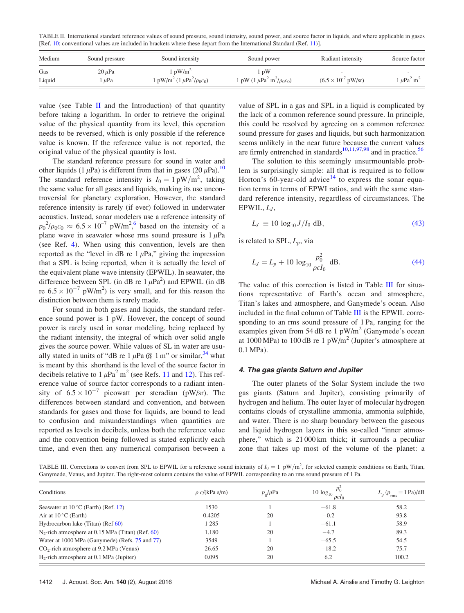<span id="page-12-0"></span>TABLE II. International standard reference values of sound pressure, sound intensity, sound power, and source factor in liquids, and where applicable in gases [Ref. [10;](#page-17-0) conventional values are included in brackets where these depart from the International Standard (Ref. [11\)](#page-17-0)].

| Medium        | Sound pressure     | Sound intensity                                                                     | Sound power                                                         | Radiant intensity                    | Source factor    |
|---------------|--------------------|-------------------------------------------------------------------------------------|---------------------------------------------------------------------|--------------------------------------|------------------|
| Gas<br>Liquid | 20 µPa<br>$\mu$ Pa | $1 \text{ pW/m}^2$<br>1 pW/m <sup>2</sup> (1 $\mu$ Pa <sup>2</sup> / $\rho_0 c_0$ ) | pW<br>1 pW (1 $\mu$ Pa <sup>2</sup> m <sup>2</sup> / $\rho_0 c_0$ ) | $(6.5 \times 10^{-7} \text{ pW/sr})$ | $1 \mu Pa^2 m^2$ |

value (see Table  $II$  and the Introduction) of that quantity before taking a logarithm. In order to retrieve the original value of the physical quantity from its level, this operation needs to be reversed, which is only possible if the reference value is known. If the reference value is not reported, the original value of the physical quantity is lost.

The standard reference pressure for sound in water and other liquids (1  $\mu$ Pa) is different from that in gases (20  $\mu$ Pa).<sup>[10](#page-17-0)</sup> The standard reference intensity is  $I_0 = 1 \text{ pW/m}^2$ , taking the same value for all gases and liquids, making its use uncontroversial for planetary exploration. However, the standard reference intensity is rarely (if ever) followed in underwater acoustics. Instead, sonar modelers use a reference intensity of  $p_0^2/\rho_0 c_0 \approx 6.5 \times 10^{-7}$  $p_0^2/\rho_0 c_0 \approx 6.5 \times 10^{-7}$  $p_0^2/\rho_0 c_0 \approx 6.5 \times 10^{-7}$  pW/m<sup>2</sup>,<sup>6</sup> based on the intensity of a plane wave in seawater whose rms sound pressure is  $1 \mu Pa$ (see Ref. [4\)](#page-16-0). When using this convention, levels are then reported as the "level in dB re  $1 \mu Pa$ ," giving the impression that a SPL is being reported, when it is actually the level of the equivalent plane wave intensity (EPWIL). In seawater, the difference between SPL (in dB re  $1 \mu Pa^2$ ) and EPWIL (in dB re  $6.5 \times 10^{-7}$  pW/m<sup>2</sup>) is very small, and for this reason the distinction between them is rarely made.

For sound in both gases and liquids, the standard reference sound power is 1 pW. However, the concept of sound power is rarely used in sonar modeling, being replaced by the radiant intensity, the integral of which over solid angle gives the source power. While values of SL in water are usually stated in units of "dB re 1  $\mu$ Pa @ 1 m" or similar, <sup>34</sup> what is meant by this shorthand is the level of the source factor in decibels relative to  $1 \mu Pa^2 m^2$  (see Refs. [11](#page-17-0) and [12\)](#page-17-0). This reference value of source factor corresponds to a radiant intensity of  $6.5 \times 10^{-7}$  picowatt per steradian (pW/sr). The differences between standard and convention, and between standards for gases and those for liquids, are bound to lead to confusion and misunderstandings when quantities are reported as levels in decibels, unless both the reference value and the convention being followed is stated explicitly each time, and even then any numerical comparison between a value of SPL in a gas and SPL in a liquid is complicated by the lack of a common reference sound pressure. In principle, this could be resolved by agreeing on a common reference sound pressure for gases and liquids, but such harmonization seems unlikely in the near future because the current values are firmly entrenched in standards<sup>[10](#page-17-0),[11](#page-17-0)[,97,98](#page-18-0)</sup> and in practice.<sup>[56](#page-17-0)</sup>

The solution to this seemingly unsurmountable problem is surprisingly simple: all that is required is to follow Horton's  $60$ -year-old advice<sup>[14](#page-17-0)</sup> to express the sonar equation terms in terms of EPWI ratios, and with the same standard reference intensity, regardless of circumstances. The  $EPWIL, L_I$ 

$$
L_J \equiv 10 \log_{10} J / I_0 \text{ dB}, \tag{43}
$$

is related to SPL,  $L_p$ , via

$$
L_J = L_p + 10 \log_{10} \frac{p_0^2}{\rho c I_0} \text{ dB.}
$$
 (44)

The value of this correction is listed in Table III for situations representative of Earth's ocean and atmosphere, Titan's lakes and atmosphere, and Ganymede's ocean. Also included in the final column of Table III is the EPWIL corresponding to an rms sound pressure of 1 Pa, ranging for the examples given from 54 dB re 1  $pW/m^2$  (Ganymede's ocean at 1000 MPa) to 100 dB re 1 pW/m<sup>2</sup> (Jupiter's atmosphere at 0.1 MPa).

# 4. The gas giants Saturn and Jupiter

The outer planets of the Solar System include the two gas giants (Saturn and Jupiter), consisting primarily of hydrogen and helium. The outer layer of molecular hydrogen contains clouds of crystalline ammonia, ammonia sulphide, and water. There is no sharp boundary between the gaseous and liquid hydrogen layers in this so-called "inner atmosphere," which is 21 000 km thick; it surrounds a peculiar zone that takes up most of the volume of the planet: a

TABLE III. Corrections to convert from SPL to EPWIL for a reference sound intensity of  $I_0 = 1$  pW/m<sup>2</sup>, for selected example conditions on Earth, Titan, Ganymede, Venus, and Jupiter. The right-most column contains the value of EPWIL corresponding to an rms sound pressure of 1 Pa.

| <b>Conditions</b>                                    | $\rho$ c/(kPa s/m) | $p_o/\mu Pa$ | 10 $\log_{10} \frac{ }{\rho c I_0}$ | $L_J(p_{\text{rms}}=1 \text{ Pa})/\text{dB}$ |
|------------------------------------------------------|--------------------|--------------|-------------------------------------|----------------------------------------------|
| Seawater at $10^{\circ}$ C (Earth) (Ref. 12)         | 1530               |              | $-61.8$                             | 58.2                                         |
| Air at $10^{\circ}$ C (Earth)                        | 0.4205             | 20           | $-0.2$                              | 93.8                                         |
| Hydrocarbon lake (Titan) ( $Ref 60$ )                | 1 285              |              | $-61.1$                             | 58.9                                         |
| $N_2$ -rich atmosphere at 0.15 MPa (Titan) (Ref. 60) | 1.180              | 20           | $-4.7$                              | 89.3                                         |
| Water at 1000 MPa (Ganymede) (Refs. 75 and 77)       | 3549               |              | $-65.5$                             | 54.5                                         |
| $CO_2$ -rich atmosphere at 9.2 MPa (Venus)           | 26.65              | 20           | $-18.2$                             | 75.7                                         |
| $H_2$ -rich atmosphere at 0.1 MPa (Jupiter)          | 0.095              | 20           | 6.2                                 | 100.2                                        |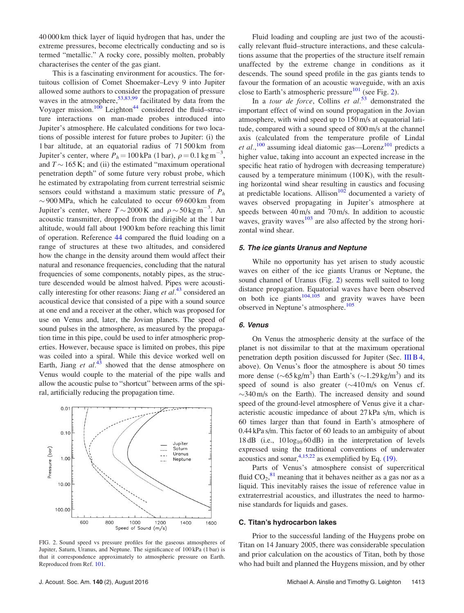40 000 km thick layer of liquid hydrogen that has, under the extreme pressures, become electrically conducting and so is termed "metallic." A rocky core, possibly molten, probably characterises the center of the gas giant.

This is a fascinating environment for acoustics. The fortuitous collision of Comet Shoemaker–Levy 9 into Jupiter allowed some authors to consider the propagation of pressure waves in the atmosphere,  $53,83,99$  $53,83,99$  facilitated by data from the Voyager mission.<sup>[100](#page-18-0)</sup> Leighton<sup>[44](#page-17-0)</sup> considered the fluid–structure interactions on man-made probes introduced into Jupiter's atmosphere. He calculated conditions for two locations of possible interest for future probes to Jupiter: (i) the 1 bar altitude, at an equatorial radius of 71 500 km from Jupiter's center, where  $\overline{P}_h = 100 \text{ kPa}$  (1 bar),  $\rho = 0.1 \text{ kg m}^{-3}$ , and  $T \sim 165$  K; and (ii) the estimated "maximum operational penetration depth" of some future very robust probe, which he estimated by extrapolating from current terrestrial seismic sensors could withstand a maximum static pressure of  $P_h$  $\sim$  900 MPa, which he calculated to occur 69 600 km from Jupiter's center, where  $T \sim 2000 \text{ K}$  and  $\rho \sim 50 \text{ kg m}^{-3}$ . An acoustic transmitter, dropped from the dirigible at the 1 bar altitude, would fall about 1900 km before reaching this limit of operation. Reference [44](#page-17-0) compared the fluid loading on a range of structures at these two altitudes, and considered how the change in the density around them would affect their natural and resonance frequencies, concluding that the natural frequencies of some components, notably pipes, as the structure descended would be almost halved. Pipes were acoustically interesting for other reasons: Jiang  $et$   $al.^{43}$  $al.^{43}$  $al.^{43}$  considered an acoustical device that consisted of a pipe with a sound source at one end and a receiver at the other, which was proposed for use on Venus and, later, the Jovian planets. The speed of sound pulses in the atmosphere, as measured by the propagation time in this pipe, could be used to infer atmospheric properties. However, because space is limited on probes, this pipe was coiled into a spiral. While this device worked well on Earth, Jiang *et al.*<sup>[43](#page-17-0)</sup> showed that the dense atmosphere on Venus would couple to the material of the pipe walls and allow the acoustic pulse to "shortcut" between arms of the spiral, artificially reducing the propagation time.



FIG. 2. Sound speed vs pressure profiles for the gaseous atmospheres of Jupiter, Saturn, Uranus, and Neptune. The significance of 100 kPa (1 bar) is that it correspondence approximately to atmospheric pressure on Earth. Reproduced from Ref. [101](#page-18-0).

In a *tour de force*, Collins *et al.*<sup>[53](#page-17-0)</sup> demonstrated the important effect of wind on sound propagation in the Jovian atmosphere, with wind speed up to 150 m/s at equatorial latitude, compared with a sound speed of 800 m/s at the channel axis (calculated from the temperature profile of Lindal et  $al$ ,  $\frac{100}{100}$  $\frac{100}{100}$  $\frac{100}{100}$  assuming ideal diatomic gas—Lorenz<sup>[101](#page-18-0)</sup> predicts a higher value, taking into account an expected increase in the specific heat ratio of hydrogen with decreasing temperature) caused by a temperature minimum  $(100 \text{ K})$ , with the resulting horizontal wind shear resulting in caustics and focusing at predictable locations. Allison<sup>[102](#page-18-0)</sup> documented a variety of waves observed propagating in Jupiter's atmosphere at speeds between 40 m/s and 70 m/s. In addition to acoustic waves, gravity waves<sup>[103](#page-18-0)</sup> are also affected by the strong horizontal wind shear.

#### 5. The ice giants Uranus and Neptune

While no opportunity has yet arisen to study acoustic waves on either of the ice giants Uranus or Neptune, the sound channel of Uranus (Fig. 2) seems well suited to long distance propagation. Equatorial waves have been observed on both ice giants<sup>[104,105](#page-18-0)</sup> and gravity waves have been observed in Neptune's atmosphere.<sup>[105](#page-18-0)</sup>

# 6. Venus

On Venus the atmospheric density at the surface of the planet is not dissimilar to that at the maximum operational penetration depth position discussed for Jupiter (Sec. [III B 4,](#page-12-0) above). On Venus's floor the atmosphere is about 50 times more dense ( $\sim 65 \text{ kg/m}^3$ ) than Earth's ( $\sim 1.29 \text{ kg/m}^3$ ) and its speed of sound is also greater  $(\sim 410 \text{ m/s}$  on Venus cf.  $\sim$ 340 m/s on the Earth). The increased density and sound speed of the ground-level atmosphere of Venus give it a characteristic acoustic impedance of about 27 kPa s/m, which is 60 times larger than that found in Earth's atmosphere of 0.44 kPa s/m. This factor of 60 leads to an ambiguity of about 18 dB (i.e.,  $10 \log_{10} 60$  dB) in the interpretation of levels expressed using the traditional conventions of underwater acoustics and sonar,  $4,15,22$  $4,15,22$  as exemplified by Eq. [\(19\)](#page-5-0).

Parts of Venus's atmosphere consist of supercritical fluid  $CO_2$ ,<sup>[81](#page-18-0)</sup> meaning that it behaves neither as a gas nor as a liquid. This inevitably raises the issue of reference value in extraterrestrial acoustics, and illustrates the need to harmonise standards for liquids and gases.

#### C. Titan's hydrocarbon lakes

Prior to the successful landing of the Huygens probe on Titan on 14 January 2005, there was considerable speculation and prior calculation on the acoustics of Titan, both by those who had built and planned the Huygens mission, and by other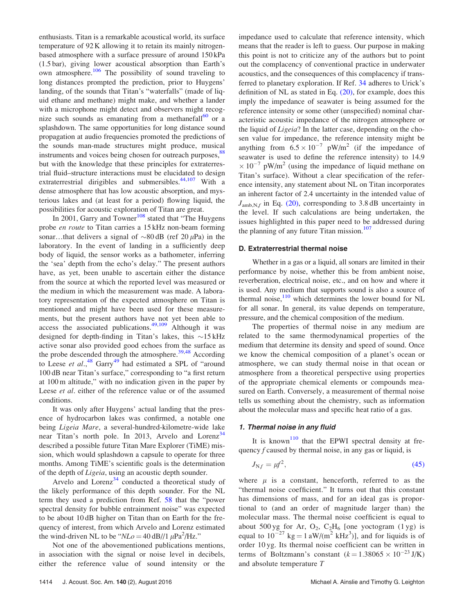<span id="page-14-0"></span>enthusiasts. Titan is a remarkable acoustical world, its surface temperature of 92 K allowing it to retain its mainly nitrogenbased atmosphere with a surface pressure of around 150 kPa (1.5 bar), giving lower acoustical absorption than Earth's own atmosphere[.106](#page-18-0) The possibility of sound traveling to long distances prompted the prediction, prior to Huygens' landing, of the sounds that Titan's "waterfalls" (made of liquid ethane and methane) might make, and whether a lander with a microphone might detect and observers might recognize such sounds as emanating from a methanefall<sup>60</sup> or a splashdown. The same opportunities for long distance sound propagation at audio frequencies promoted the predictions of the sounds man-made structures might produce, musical instruments and voices being chosen for outreach purposes,<sup>[88](#page-18-0)</sup> but with the knowledge that these principles for extraterrestrial fluid–structure interactions must be elucidated to design extraterrestrial dirigibles and submersibles.<sup>44,[107](#page-18-0)</sup> With a dense atmosphere that has low acoustic absorption, and mysterious lakes and (at least for a period) flowing liquid, the possibilities for acoustic exploration of Titan are great.

In 2001, Garry and Towner<sup>[108](#page-18-0)</sup> stated that "The Huygens" probe en route to Titan carries a 15 kHz non-beam forming sonar…that delivers a signal of  $\sim 80 \text{ dB}$  (ref 20  $\mu$ Pa) in the laboratory. In the event of landing in a sufficiently deep body of liquid, the sensor works as a bathometer, inferring the 'sea' depth from the echo's delay." The present authors have, as yet, been unable to ascertain either the distance from the source at which the reported level was measured or the medium in which the measurement was made. A laboratory representation of the expected atmosphere on Titan is mentioned and might have been used for these measurements, but the present authors have not yet been able to access the associated publications.[49](#page-17-0)[,109](#page-18-0) Although it was designed for depth-finding in Titan's lakes, this  $\sim$ 15 kHz active sonar also provided good echoes from the surface as the probe descended through the atmosphere. $39,48$  According to Leese et  $al$ ,  $48$  Garry<sup>[49](#page-17-0)</sup> had estimated a SPL of "around" 100 dB near Titan's surface," corresponding to "a first return at 100 m altitude," with no indication given in the paper by Leese *et al.* either of the reference value or of the assumed conditions.

It was only after Huygens' actual landing that the presence of hydrocarbon lakes was confirmed, a notable one being Ligeia Mare, a several-hundred-kilometre-wide lake near Titan's north pole. In 2013, Arvelo and Lorenz<sup>[34](#page-17-0)</sup> described a possible future Titan Mare Explorer (TiME) mission, which would splashdown a capsule to operate for three months. Among TiME's scientific goals is the determination of the depth of Ligeia, using an acoustic depth sounder.

Arvelo and Lorenz<sup>[34](#page-17-0)</sup> conducted a theoretical study of the likely performance of this depth sounder. For the NL term they used a prediction from Ref. [58](#page-18-0) that the "power spectral density for bubble entrainment noise" was expected to be about 10 dB higher on Titan than on Earth for the frequency of interest, from which Arvelo and Lorenz estimated the wind-driven NL to be " $NLo = 40$  dB//1  $\mu Pa^2/Hz$ ."

Not one of the abovementioned publications mentions, in association with the signal or noise level in decibels, either the reference value of sound intensity or the impedance used to calculate that reference intensity, which means that the reader is left to guess. Our purpose in making this point is not to criticize any of the authors but to point out the complacency of conventional practice in underwater acoustics, and the consequences of this complacency if transferred to planetary exploration. If Ref. [34](#page-17-0) adheres to Urick's definition of NL as stated in Eq. [\(20\)](#page-6-0), for example, does this imply the impedance of seawater is being assumed for the reference intensity or some other (unspecified) nominal characteristic acoustic impedance of the nitrogen atmosphere or the liquid of Ligeia? In the latter case, depending on the chosen value for impedance, the reference intensity might be anything from  $6.5 \times 10^{-7}$  pW/m<sup>2</sup> (if the impedance of seawater is used to define the reference intensity) to 14.9  $\times 10^{-7}$  pW/m<sup>2</sup> (using the impedance of liquid methane on Titan's surface). Without a clear specification of the reference intensity, any statement about NL on Titan incorporates an inherent factor of 2.4 uncertainty in the intended value of  $J_{\text{amb,Nf}}$  in Eq. [\(20\),](#page-6-0) corresponding to 3.8 dB uncertainty in the level. If such calculations are being undertaken, the issues highlighted in this paper need to be addressed during the planning of any future Titan mission.<sup>[107](#page-18-0)</sup>

#### D. Extraterrestrial thermal noise

Whether in a gas or a liquid, all sonars are limited in their performance by noise, whether this be from ambient noise, reverberation, electrical noise, etc., and on how and where it is used. Any medium that supports sound is also a source of thermal noise, $110$  which determines the lower bound for NL for all sonar. In general, its value depends on temperature, pressure, and the chemical composition of the medium.

The properties of thermal noise in any medium are related to the same thermodynamical properties of the medium that determine its density and speed of sound. Once we know the chemical composition of a planet's ocean or atmosphere, we can study thermal noise in that ocean or atmosphere from a theoretical perspective using properties of the appropriate chemical elements or compounds measured on Earth. Conversely, a measurement of thermal noise tells us something about the chemistry, such as information about the molecular mass and specific heat ratio of a gas.

## 1. Thermal noise in any fluid

It is known<sup>[110](#page-19-0)</sup> that the EPWI spectral density at frequency  $f$  caused by thermal noise, in any gas or liquid, is

$$
J_{\mathrm{N}f} = \mu f^2,\tag{45}
$$

where  $\mu$  is a constant, henceforth, referred to as the "thermal noise coefficient." It turns out that this constant has dimensions of mass, and for an ideal gas is proportional to (and an order of magnitude larger than) the molecular mass. The thermal noise coefficient is equal to about 500 yg for Ar,  $O_2$ ,  $C_2H_6$  [one yoctogram (1 yg) is equal to  $10^{-27}$  kg = 1 aW/(m<sup>2</sup> kHz<sup>3</sup>)], and for liquids is of order 10 yg. Its thermal noise coefficient can be written in terms of Boltzmann's constant  $(k=1.38065\times 10^{-23}$  J/K) and absolute temperature T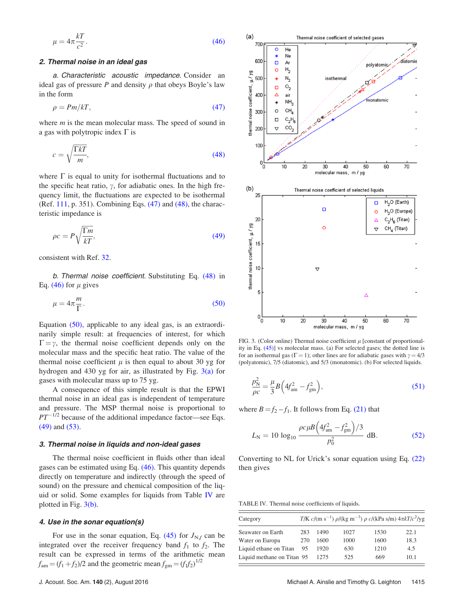$$
\mu = 4\pi \frac{kT}{c^2}.\tag{46}
$$

# 2. Thermal noise in an ideal gas

a. Characteristic acoustic impedance. Consider an ideal gas of pressure  $P$  and density  $\rho$  that obeys Boyle's law in the form

$$
\rho = Pm/kT,\tag{47}
$$

where  $m$  is the mean molecular mass. The speed of sound in a gas with polytropic index  $\Gamma$  is

$$
c = \sqrt{\frac{\Gamma kT}{m}},\tag{48}
$$

where  $\Gamma$  is equal to unity for isothermal fluctuations and to the specific heat ratio,  $\gamma$ , for adiabatic ones. In the high frequency limit, the fluctuations are expected to be isothermal (Ref. [111](#page-19-0), p. 351). Combining Eqs. (47) and (48), the characteristic impedance is

$$
\rho c = P \sqrt{\frac{\Gamma m}{kT}},\tag{49}
$$

consistent with Ref. [32](#page-17-0).

b. Thermal noise coefficient. Substituting Eq. (48) in Eq. [\(46\)](#page-14-0) for  $\mu$  gives

$$
\mu = 4\pi \frac{m}{\Gamma}.
$$
\n(50)

Equation (50), applicable to any ideal gas, is an extraordinarily simple result: at frequencies of interest, for which  $\Gamma = \gamma$ , the thermal noise coefficient depends only on the molecular mass and the specific heat ratio. The value of the thermal noise coefficient  $\mu$  is then equal to about 30 yg for hydrogen and 430 yg for air, as illustrated by Fig.  $3(a)$  for gases with molecular mass up to 75 yg.

A consequence of this simple result is that the EPWI thermal noise in an ideal gas is independent of temperature and pressure. The MSP thermal noise is proportional to  $PT^{-1/2}$  because of the additional impedance factor—see Eqs. (49) and (53).

## 3. Thermal noise in liquids and non-ideal gases

The thermal noise coefficient in fluids other than ideal gases can be estimated using Eq. [\(46\)](#page-14-0). This quantity depends directly on temperature and indirectly (through the speed of sound) on the pressure and chemical composition of the liquid or solid. Some examples for liquids from Table IV are plotted in Fig. 3(b).

# 4. Use in the sonar equation(s)

For use in the sonar equation, Eq. [\(45\)](#page-14-0) for  $J_{N,f}$  can be integrated over the receiver frequency band  $f_1$  to  $f_2$ . The result can be expressed in terms of the arithmetic mean  $f_{\text{am}} = (f_1 + f_2)/2$  and the geometric mean  $f_{\text{gm}} = (f_1 f_2)^{1/2}$ 



FIG. 3. (Color online) Thermal noise coefficient  $\mu$  [constant of proportionality in Eq. [\(45\)](#page-14-0)] vs molecular mass. (a) For selected gases; the dotted line is for an isothermal gas ( $\Gamma = 1$ ); other lines are for adiabatic gases with  $\gamma = 4/3$ (polyatomic), 7/5 (diatomic), and 5/3 (monatomic). (b) For selected liquids.

$$
\frac{p_N^2}{\rho c} = \frac{\mu}{3} B \left( 4f_{\rm am}^2 - f_{\rm gm}^2 \right),\tag{51}
$$

where  $B = f_2 - f_1$ . It follows from Eq. [\(21\)](#page-6-0) that

$$
L_{\rm N} = 10 \log_{10} \frac{\rho c \mu B \left( 4f_{\rm am}^2 - f_{\rm gm}^2 \right) / 3}{p_0^2} \text{ dB.}
$$
 (52)

Converting to NL for Urick's sonar equation using Eq. [\(22\)](#page-6-0) then gives

TABLE IV. Thermal noise coefficients of liquids.

| Category                   |     |      |      | $T/K c/(m s^{-1}) \rho/(kg m^{-3}) \rho c/(kPa s/m) 4\pi kT/c^2/yg$ |      |
|----------------------------|-----|------|------|---------------------------------------------------------------------|------|
| Seawater on Earth          | 283 | 1490 | 1027 | 1530                                                                | 22.1 |
| Water on Europa            | 270 | 1600 | 1000 | 1600                                                                | 18.3 |
| Liquid ethane on Titan     | 95  | 1920 | 630  | 1210                                                                | 4.5  |
| Liquid methane on Titan 95 |     | 1275 | 525  | 669                                                                 | 10.1 |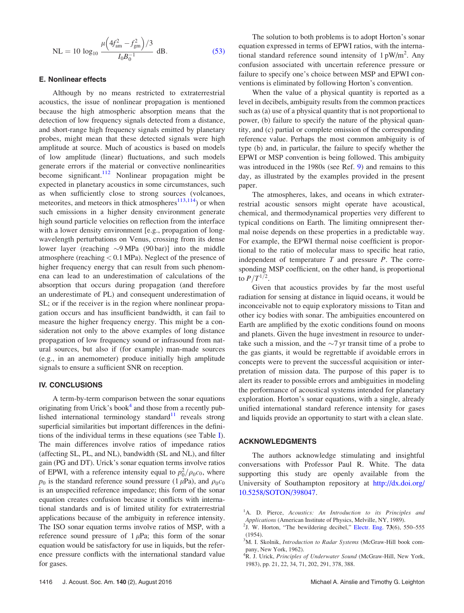<span id="page-16-0"></span>NL = 10 
$$
\log_{10} \frac{\mu \left( 4f_{\text{am}}^2 - f_{\text{gm}}^2 \right) / 3}{I_0 B_0^{-1}}
$$
 dB. (53)

#### E. Nonlinear effects

Although by no means restricted to extraterrestrial acoustics, the issue of nonlinear propagation is mentioned because the high atmospheric absorption means that the detection of low frequency signals detected from a distance, and short-range high frequency signals emitted by planetary probes, might mean that these detected signals were high amplitude at source. Much of acoustics is based on models of low amplitude (linear) fluctuations, and such models generate errors if the material or convective nonlinearities become significant.<sup>[112](#page-19-0)</sup> Nonlinear propagation might be expected in planetary acoustics in some circumstances, such as when sufficiently close to strong sources (volcanoes, meteorites, and meteors in thick atmospheres<sup>[113](#page-19-0),[114](#page-19-0)</sup>) or when such emissions in a higher density environment generate high sound particle velocities on reflection from the interface with a lower density environment [e.g., propagation of longwavelength perturbations on Venus, crossing from its dense lower layer (reaching  $\sim 9 \text{ MPa}$  (90 bar)] into the middle atmosphere (reaching  $< 0.1$  MPa). Neglect of the presence of higher frequency energy that can result from such phenomena can lead to an underestimation of calculations of the absorption that occurs during propagation (and therefore an underestimate of PL) and consequent underestimation of SL; or if the receiver is in the region where nonlinear propagation occurs and has insufficient bandwidth, it can fail to measure the higher frequency energy. This might be a consideration not only to the above examples of long distance propagation of low frequency sound or infrasound from natural sources, but also if (for example) man-made sources (e.g., in an anemometer) produce initially high amplitude signals to ensure a sufficient SNR on reception.

# IV. CONCLUSIONS

A term-by-term comparison between the sonar equations originating from Urick's book $4$  and those from a recently published international terminology standard $11$  reveals strong superficial similarities but important differences in the definitions of the individual terms in these equations (see Table [I](#page-7-0)). The main differences involve ratios of impedance ratios (affecting SL, PL, and NL), bandwidth (SL and NL), and filter gain (PG and DT). Urick's sonar equation terms involve ratios of EPWI, with a reference intensity equal to  $p_0^2/\rho_0c_0$ , where  $p_0$  is the standard reference sound pressure (1  $\mu$ Pa), and  $\rho_0c_0$ is an unspecified reference impedance; this form of the sonar equation creates confusion because it conflicts with international standards and is of limited utility for extraterrestrial applications because of the ambiguity in reference intensity. The ISO sonar equation terms involve ratios of MSP, with a reference sound pressure of  $1 \mu$ Pa; this form of the sonar equation would be satisfactory for use in liquids, but the reference pressure conflicts with the international standard value for gases.

The solution to both problems is to adopt Horton's sonar equation expressed in terms of EPWI ratios, with the international standard reference sound intensity of  $1 \text{ pW/m}^2$ . Any confusion associated with uncertain reference pressure or failure to specify one's choice between MSP and EPWI conventions is eliminated by following Horton's convention.

When the value of a physical quantity is reported as a level in decibels, ambiguity results from the common practices such as (a) use of a physical quantity that is not proportional to power, (b) failure to specify the nature of the physical quantity, and (c) partial or complete omission of the corresponding reference value. Perhaps the most common ambiguity is of type (b) and, in particular, the failure to specify whether the EPWI or MSP convention is being followed. This ambiguity was introduced in the 1980s (see Ref. [9](#page-17-0)) and remains to this day, as illustrated by the examples provided in the present paper.

The atmospheres, lakes, and oceans in which extraterrestrial acoustic sensors might operate have acoustical, chemical, and thermodynamical properties very different to typical conditions on Earth. The limiting omnipresent thermal noise depends on these properties in a predictable way. For example, the EPWI thermal noise coefficient is proportional to the ratio of molecular mass to specific heat ratio, independent of temperature  $T$  and pressure  $P$ . The corresponding MSP coefficient, on the other hand, is proportional to  $P/T^{1/2}$ .

Given that acoustics provides by far the most useful radiation for sensing at distance in liquid oceans, it would be inconceivable not to equip exploratory missions to Titan and other icy bodies with sonar. The ambiguities encountered on Earth are amplified by the exotic conditions found on moons and planets. Given the huge investment in resource to undertake such a mission, and the  $\sim$ 7 yr transit time of a probe to the gas giants, it would be regrettable if avoidable errors in concepts were to prevent the successful acquisition or interpretation of mission data. The purpose of this paper is to alert its reader to possible errors and ambiguities in modeling the performance of acoustical systems intended for planetary exploration. Horton's sonar equations, with a single, already unified international standard reference intensity for gases and liquids provide an opportunity to start with a clean slate.

#### ACKNOWLEDGMENTS

The authors acknowledge stimulating and insightful conversations with Professor Paul R. White. The data supporting this study are openly available from the University of Southampton repository at [http://dx.doi.org/](http://dx.doi.org/10.5258/SOTON/398047) [10.5258/SOTON/398047](http://dx.doi.org/10.5258/SOTON/398047).

<sup>&</sup>lt;sup>1</sup>A. D. Pierce, Acoustics: An Introduction to its Principles and Applications (American Institute of Physics, Melville, NY, 1989).

 $2J.$  W. Horton, "The bewildering decibel," [Electr. Eng.](http://dx.doi.org/10.1109/EE.1954.6438830) 73(6), 550-555 (1954).

<sup>&</sup>lt;sup>3</sup>M. I. Skolnik, Introduction to Radar Systems (McGraw-Hill book company, New York, 1962).

<sup>&</sup>lt;sup>4</sup>R. J. Urick, Principles of Underwater Sound (McGraw-Hill, New York, 1983), pp. 21, 22, 34, 71, 202, 291, 378, 388.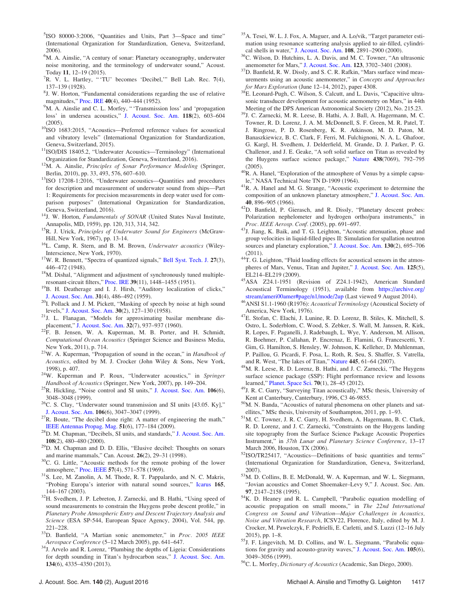- <span id="page-17-0"></span>5 ISO 80000-3:2006, "Quantities and Units, Part 3—Space and time" (International Organization for Standardization, Geneva, Switzerland, 2006).
- <sup>6</sup>M. A. Ainslie, "A century of sonar: Planetary oceanography, underwater noise monitoring, and the terminology of underwater sound," Acoust. Today <sup>11</sup>, 12–19 (2015). <sup>7</sup>
- ${}^{7}R$ . V. L. Hartley, "'TU' becomes 'Decibel," Bell Lab. Rec. 7(4), 137–139 (1928).
- <sup>8</sup>J. W. Horton, "Fundamental considerations regarding the use of relative magnitudes," [Proc. IRE](http://dx.doi.org/10.1109/JRPROC.1952.274037) 40(4), 440-444 (1952).
- <sup>9</sup>M. A. Ainslie and C. L. Morfey, "'Transmission loss' and 'propagation loss' in undersea acoustics," [J. Acoust. Soc. Am.](http://dx.doi.org/10.1121/1.1960170) 118(2), 603-604 (2005).
- <sup>10</sup>ISO 1683:2015, "Acoustics—Preferred reference values for acoustical and vibratory levels" (International Organization for Standardization, Geneva, Switzerland, 2015).<br><sup>11</sup>ISO/DIS 18405.2, "Underwater Acoustics—Terminology" (International
- 
- Organization for Standardization, Geneva, Switzerland, 2016). <sup>12</sup>M. A. Ainslie, *Principles of Sonar Performance Modeling* (Springer, Berlin, 2010), pp. 33, 493, 576, 607–610.
- <sup>13</sup>ISO 17208-1:2016, "Underwater acoustics—Quantities and procedures for description and measurement of underwater sound from ships—Part 1: Requirements for precision measurements in deep water used for comparison purposes" (International Organization for Standardization,
- Geneva, Switzerland, 2016). 14J. W. Horton, Fundamentals of SONAR (United States Naval Institute,
- Annapolis, MD, 1959), pp. 120, 313, 314, 342.<br><sup>15</sup>R. J. Urick, *Principles of Underwater Sound for Engineers* (McGraw-
- Hill, New York, 1967), pp. 13-14.<br><sup>16</sup>L. Camp, R. Stern, and B. M. Brown, *Underwater acoustics* (Wiley-
- Interscience, New York, 1970). <sup>17</sup>W. R. Bennett, "Spectra of quantized signals," [Bell Syst. Tech. J.](http://dx.doi.org/10.1002/j.1538-7305.1948.tb01340.x) 27(3),
- 446–472 (1948).<br><sup>18</sup>M. Dishal, "Alignment and adjustment of synchronously tuned multiple-
- resonant-circuit filters," [Proc. IRE](http://dx.doi.org/10.1109/JRPROC.1951.273611) <sup>39</sup>(11), 1448–1455 (1951). 19B. H. Deatherage and I. J. Hirsh, "Auditory localization of clicks,"
- [J. Acoust. Soc. Am.](http://dx.doi.org/10.1121/1.1907740) 31(4), 486–492 (1959).<br><sup>20</sup>I. Pollack and J. M. Pickett, "Masking of speech by noise at high sound levels," J. Acoust. Soc. Am. 30(2), 127–130 (1958).
- <sup>21</sup>J. L. Flanagan, "Models for approximating basilar membrane dis-
- placement," [J. Acoust. Soc. Am.](http://dx.doi.org/10.1121/1.1936560) <sup>32</sup>(7), 937–937 (1960). 22F. B. Jensen, W. A. Kuperman, M. B. Porter, and H. Schmidt, Computational Ocean Acoustics (Springer Science and Business Media,
- New York, 2011), p. 714.<br><sup>23</sup>W. A. Kuperman, "Propagation of sound in the ocean," in *Handbook of* Acoustics, edited by M. J. Crocker (John Wiley & Sons, New York,
- 1998), p. 407.<br><sup>24</sup>W. Kuperman and P. Roux, "Underwater acoustics," in Springer
- Handbook of Acoustics (Springer, New York, 2007), pp. 149–204.<br><sup>25</sup>R. Hickling, "Noise control and SI units," [J. Acoust. Soc. Am.](http://dx.doi.org/10.1121/1.428157) **106**(6), 3048–3048 (1999). <sup>26</sup>C. S. Clay, "Underwater sound transmission and SI units [43.05. Ky],"
- 
- [J. Acoust. Soc. Am.](http://dx.doi.org/10.1121/1.428156)  $106(6)$ , 3047–3047 (1999). <sup>27</sup>R. Boute, "The decibel done right: A matter of engineering the math," [IEEE Antennas Propag. Mag.](http://dx.doi.org/10.1109/MAP.2009.5433137) 51(6), 177–184 (2009).<br><sup>28</sup>D. M. Chapman, "Decibels, SI units, and standards," [J. Acoust. Soc. Am.](http://dx.doi.org/10.1121/1.429620)
- 
- 108(2), 480–480 (2000).  $2^{9}D$ . M. Chapman and D. D. Ellis, "Elusive decibel: Thoughts on sonars
- and marine mammals," Can. Acoust.  $26(2)$ ,  $29-31$  (1998).  $30C$ . G. Little, "Acoustic methods for the remote probing of the lower
- atmosphere," [Proc. IEEE](http://dx.doi.org/10.1109/PROC.1969.7010) 57(4), 571–578 (1969).<br><sup>31</sup>S. Lee, M. Zanolin, A. M. Thode, R. T. Pappalardo, and N. C. Makris, "Probing Europa's interior with natural sound sources," [Icarus](http://dx.doi.org/10.1016/S0019-1035(03)00150-7) 165,
- 144–167 (2003).<br> $32H$ . Svedhem, J. P. Lebreton, J. Zarnecki, and B. Hathi, "Using speed of sound measurements to constrain the Huygens probe descent profile," in Planetary Probe Atmospheric Entry and Descent Trajectory Analysis and Science (ESA SP-544, European Space Agency, 2004), Vol. 544, pp.
- $221-228$ .<br><sup>33</sup>D. Banfield, "A Martian sonic anemometer," in *Proc.* 2005 IEEE
- Aerospace Conference (5–12 March 2005), pp. 641–647.<br> $34J$ . Arvelo and R. Lorenz, "Plumbing the depths of Ligeia: Considerations for depth sounding in Titan's hydrocarbon seas," [J. Acoust. Soc. Am.](http://dx.doi.org/10.1121/1.4824908) 134(6), 4335–4350 (2013).
- <sup>35</sup>A. Tesei, W. L. J. Fox, A. Maguer, and A. Lo/vik, "Target parameter estimation using resonance scattering analysis applied to air-filled, cylindri-
- cal shells in water," [J. Acoust. Soc. Am.](http://dx.doi.org/10.1121/1.1312359)  $108$ ,  $2891-2900$  (2000).<br><sup>36</sup>C. Wilson, D. Hutchins, L. A. Davis, and M. C. Towner, "An ultrasonic anemometer for Mars," J. Acoust. Soc. Am.  $123$ ,  $3702-3401$  (2008).
- $37D$ . Banfield, R. W. Dissly, and S. C. R. Rafkin, "Mars surface wind measurements using an acoustic anemometer," in Concepts and Approaches for Mars Exploration (June 12–14, 2012), paper 4308.<br><sup>38</sup>E. Leonard-Pugh, C. Wilson, S. Calcutt, and L. Davis, "Capacitive ultra-
- sonic transducer development for acoustic anemometry on Mars," in 44th
- Meeting of the DPS American Astronomical Society (2012), No. 215.23. 39J. C. Zarnecki, M. R. Leese, B. Hathi, A. J. Ball, A. Hagermann, M. C. Towner, R. D. Lorenz, J. A. M. McDonnell, S. F. Green, M. R. Patel, T. J. Ringrose, P. D. Rosenberg, K. R. Atkinson, M. D. Paton, M. Banaszkiewicz, B. C. Clark, F. Ferri, M. Fulchignoni, N. A. L. Ghafoor, G. Kargl, H. Svedhem, J. Delderfield, M. Grande, D. J. Parker, P. G. Challenor, and J. E. Geake, "A soft solid surface on Titan as revealed by the Huygens surface science package," [Nature](http://dx.doi.org/10.1038/nature04211) 438(7069), 792-795
- (2005).  $^{40}$ R. A. Hanel, "Exploration of the atmosphere of Venus by a simple capsu-
- le," NASA Technical Note TN D-1909 (1964). <sup>41</sup>R. A. Hanel and M. G. Strange, "Acoustic experiment to determine the composition of an unknown planetary atmosphere," [J. Acoust. Soc. Am.](http://dx.doi.org/10.1121/1.1910162) 40, 896–905 (1966).
- <sup>42</sup>D. Banfield, P. Gierasch, and R. Dissly, "Planetary descent probes: Polarization nephelometer and hydrogen ortho/para instruments," in
- Proc. IEEE Aerosp. Conf. (2005), pp. 691–697.<br><sup>43</sup>J. Jiang, K. Baik, and T. G. Leighton, "Acoustic attenuation, phase and group velocities in liquid-filled pipes II: Simulation for spallation neutron sources and planetary exploration," [J. Acoust. Soc. Am.](http://dx.doi.org/10.1121/1.3598463) 130(2), 695–706
- (2011).  $^{44}$ T. G. Leighton, "Fluid loading effects for acoustical sensors in the atmospheres of Mars, Venus, Titan and Jupiter," [J. Acoust. Soc. Am.](http://dx.doi.org/10.1121/1.3104628) 125(5),
- EL214–EL219 (2009).<br> $^{45}$ ASA Z24.1-1951 (Revision of Z24.1-1942), American Standard Acoustical Terminology (1951), available from [https://archive.org/](https://archive.org/stream/ameri00amer#page/n1/mode/2up)
- [stream/ameri00amer#page/n1/mode/2up](https://archive.org/stream/ameri00amer#page/n1/mode/2up) (Last viewed 9 August 2014).<br><sup>46</sup>ANSI S1.1-1960 (R1976): *Acoustical Terminology* (Acoustical Society of America. New York, 1976).
- <sup>47</sup>E. Stofan, C. Elachi, J. Lunine, R. D. Lorenz, B. Stiles, K. Mitchell, S. Ostro, L. Soderblom, C. Wood, S. Zebker, S. Wall, M. Janssen, R. Kirk, R. Lopes, F. Paganelli, J. Radebaugh, L. Wye, Y. Anderson, M. Allison, R. Boehmer, P. Callahan, P. Encrenaz, E. Flamini, G. Francescetti, Y. Gim, G. Hamilton, S. Hensley, W. Johnson, K. Kelleher, D. Muhlenman, P. Paillou, G. Picardi, F. Posa, L. Roth, R. Seu, S. Shaffer, S. Vatrella, and R. West, "The lakes of Titan," Nature 445, 61–64 (2007).
- <sup>48</sup>M. R. Leese, R. D. Lorenz, B. Hathi, and J. C. Zarnecki, "The Huygens surface science package (SSP): Flight performance review and lessons
- learned," [Planet. Space Sci.](http://dx.doi.org/10.1016/j.pss.2012.06.005) 70(1), 28–45 (2012).<br><sup>49</sup>J. R. C. Garry, "Surveying Titan acoustically," MSc thesis, University of
- Kent at Canterbury, Canterbury, 1996, C3 46-9855.<br><sup>50</sup>M. N. Banda, "Acoustics of natural phenomena on other planets and sat-
- ellites," MSc thesis, University of Southampton, 2011, pp. 1–93. 51M. C. Towner, J. R. C. Garry, H. Svedhem, A. Hagermann, B. C. Clark, R. D. Lorenz, and J. C. Zarnecki, "Constraints on the Huygens landing site topography from the Surface Science Package Acoustic Properties Instrument," in 37th Lunar and Planetary Science Conference, 13–17
- March 2006, Houston, TX (2006).<br><sup>52</sup>ISO/TR25417, "Acoustics—Definitions of basic quantities and terms" (International Organization for Standardization, Geneva, Switzerland,
- 2007).<br> $53$ M. D. Collins, B. E. McDonald, W. A. Kuperman, and W. L. Siegmann, "Jovian acoustics and Comet Shoemaker–Levy 9," J. Acoust. Soc. Am.
- 97,  $2147-2158$  (1995).<br> $54K$ . D. Heaney and R. L. Campbell, "Parabolic equation modelling of acoustic propagation on small moons," in The 22nd International Congress on Sound and Vibration—Major Cchallenges in Acoustics, Noise and Vibration Research, ICSV22, Florence, Italy, edited by M. J. Crocker, M. Pawelczyk, F. Pedrielli, E. Carletti, and S. Luzzi (12–16 July
- 2015), pp. 1–8.<br> $55J$ . F. Lingevitch, M. D. Collins, and W. L. Siegmann, "Parabolic equations for gravity and acousto-gravity waves," [J. Acoust. Soc. Am.](http://dx.doi.org/10.1121/1.424634) 105(6),
- 3049–3056 (1999).<br> $56C$ . L. Morfey, *Dictionary of Acoustics* (Academic, San Diego, 2000).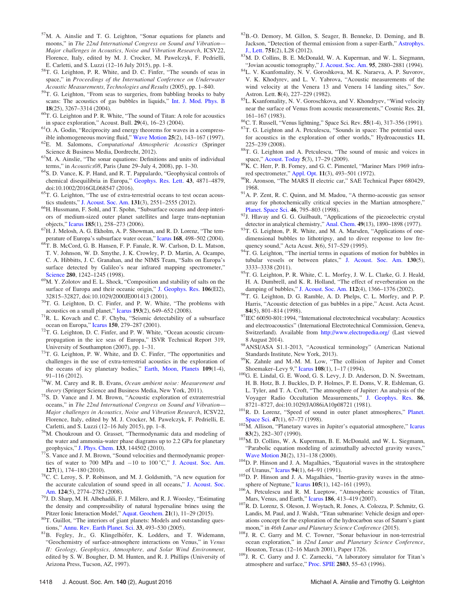- <span id="page-18-0"></span> $57$ M. A. Ainslie and T. G. Leighton, "Sonar equations for planets and moons," in The 22nd International Congress on Sound and Vibration— Major challenges in Acoustics, Noise and Vibration Research, ICSV22, Florence, Italy, edited by M. J. Crocker, M. Pawelczyk, F. Pedrielli,
- <sup>58</sup>T. G. Leighton, P. R. White, and D. C. Finfer, "The sounds of seas in space," in Proceedings of the International Conference on Underwater
- Acoustic Measurements, Technologies and Results (2005), pp. 1–840.<br><sup>59</sup>T. G. Leighton, "From seas to surgeries, from babbling brooks to baby scans: The acoustics of gas bubbles in liquids," [Int. J. Mod. Phys. B](http://dx.doi.org/10.1142/S0217979204026494)
- 18(25), 3267–3314 (2004).<br><sup>60</sup>T. G. Leighton and P. R. White, "The sound of Titan: A role for acoustics in space exploration," Acoust. Bull. **29**(4), 16–23 (2004).
- <sup>61</sup>O. A. Godin, "Reciprocity and energy theorems for waves in a compress-<br>ible inhomogeneous moving fluid," Wave Motion  $25(2)$ , 143–167 (1997).
- <sup>62</sup>E. M. Salomons, Computational Atmospheric Acoustics (Springer
- Science & Business Media, Dordrecht, 2012).  $63M$ . A. Ainslie, "The sonar equations: Definitions and units of individual
- terms," in Acoustics08, Paris (June 29–July 4, 2008), pp. 1–30.<br><sup>64</sup>S. D. Vance, K. P. Hand, and R. T. Pappalardo, "Geophysical controls of chemical disequilibria in Europa," [Geophys. Res. Lett.](http://dx.doi.org/10.1002/2016GL068547) 43, 4871–4879,
- doi:10.1002/2016GL068547 (2016).  $65T$ . G. Leighton, "The use of extra-terrestrial oceans to test ocean acous-<br>tics students," J. Acoust. Soc. Am. 131(3), 2551–2555 (2012).
- <sup>66</sup>H. Hussmann, F. Sohl, and T. Spohn, "Subsurface oceans and deep interiors of medium-sized outer planet satellites and large trans-neptunian
- objects," [Icarus](http://dx.doi.org/10.1016/j.icarus.2006.06.005) 185(1), 258–273 (2006).  $67H$ . J. Melosh, A. G. Ekholm, A. P. Showman, and R. D. Lorenz, "The tem-
- perature of Europa's subsurface water ocean," [Icarus](http://dx.doi.org/10.1016/j.icarus.2003.11.026) <sup>168</sup>, 498–502 (2004). 68T. B. McCord, G. B. Hansen, F. P. Fanale, R. W. Carlson, D. L. Matson, T. V. Johnson, W. D. Smythe, J. K. Crowley, P. D. Martin, A. Ocampo, C. A. Hibbitts, J. C. Granahan, and the NIMS Team, "Salts on Europa's surface detected by Galileo's near infrared mapping spectrometer,"
- [Science](http://dx.doi.org/10.1126/science.280.5367.1242) 280, 1242–1245 (1998).  $69M$ . Y. Zolotov and E. L. Shock, "Composition and stability of salts on the surface of Europa and their oceanic origin," [J. Geophys. Res.](http://dx.doi.org/10.1029/2000JE001413) 106(El2),
- 32815–32827, doi:10.1029/2000JE001413 (2001).<br><sup>70</sup>T. G. Leighton, D. C. Finfer, and P. W. White, "The problems with acoustics on a small planet," Icarus **193**(2), 649–652 (2008).
- <sup>71</sup>R. L. Kovach and C. F. Chyba, "Seismic detectability of a subsurface ocean on Europa," [Icarus](http://dx.doi.org/10.1016/j.icarus.2007.10.008) **150**, 279–287 (2001).
- $\rm ^{72}T.$  G. Leighton, D. C. Finfer, and P. W. White, "Ocean acoustic circumpropagation in the ice seas of Europa," ISVR Technical Report 319,
- University of Southampton (2007), pp. 1–31.  $^{73}T$ . G. Leighton, P. W. White, and D. C. Finfer, "The opportunities and challenges in the use of extra-terrestrial acoustics in the exploration of the oceans of icy planetary bodies," [Earth, Moon, Planets](http://dx.doi.org/10.1007/s11038-012-9399-6) 109(1-4),
- 91–116 (2012). <sup>74</sup>W. M. Carey and R. B. Evans, *Ocean ambient noise: Measurement and*
- theory (Springer Science and Business Media, New York, 2011).<br><sup>75</sup>S. D. Vance and J. M. Brown, "Acoustic exploration of extraterrestrial oceans," in The 22nd International Congress on Sound and Vibration— Major challenges in Acoustics, Noise and Vibration Research, ICSV22, Florence, Italy, edited by M. J. Crocker, M. Pawelczyk, F. Pedrielli, E.
- Carletti, and S. Luzzi (12–16 July 2015), pp. 1–8.<br><sup>76</sup>M. Choukroun and O. Grasset, "Thermodynamic data and modeling of the water and ammonia-water phase diagrams up to 2.2 GPa for planetary
- geophysics," [J. Phys. Chem.](http://dx.doi.org/10.1063/1.3487520) 133, 144502 (2010).<br><sup>77</sup>S. Vance and J. M. Brown, "Sound velocities and thermodynamic properties of water to 700 MPa and  $-10$  to  $100^{\circ}$ C," [J. Acoust. Soc. Am.](http://dx.doi.org/10.1121/1.3257223)
- 127(1), 174–180 (2010).  $78C$ . C. Leroy, S. P. Robinson, and M. J. Goldsmith, "A new equation for the accurate calculation of sound speed in all oceans," [J. Acoust. Soc.](http://dx.doi.org/10.1121/1.2988296)
- [Am.](http://dx.doi.org/10.1121/1.2988296)  $124(5)$ , 2774–2782 (2008).<br><sup>79</sup>J. D. Sharp, M. H. Albehadili, F. J. Millero, and R. J. Woosley, "Estimating the density and compressibility of natural hypersaline brines using the Pitzer Ionic Interaction Model,"  $Aquad$  Geochem. 21(1), 11–29 (2015).
- ${}^{80}$ T. Guillot, "The interiors of giant planets: Models and outstanding questions," Annu. Rev. Earth Planet. Sci. 33, 493–530 (2005).
- <sup>81</sup>B. Fegley, Jr., G. Klingelhöfer, K. Lodders, and T. Widemann, "Geochemistry of surface-atmosphere interactions on Venus," in Venus II: Geology, Geophysics, Atmosphere, and Solar Wind Environment, edited by S. W. Bougher, D. M. Hunten, and R. J. Phillips (University of Arizona Press, Tucson, AZ, 1997).
- 82B.-O. Demory, M. Gillon, S. Seager, B. Benneke, D. Deming, and B. Jackson, "Detection of thermal emission from a super-Earth," [Astrophys.](http://dx.doi.org/10.1088/2041-8205/751/2/L28)
- [J., Lett.](http://dx.doi.org/10.1088/2041-8205/751/2/L28) 751(2), L28 (2012).<br><sup>83</sup>M. D. Collins, B. E. McDonald, W. A. Kuperman, and W. L. Siegmann, "Jovian acoustic tomography," J. Acoust. Soc. Am. **95**, 2880–2881 (1994).
- <sup>84</sup>L. V. Ksanfomality, N. V. Goroshkova, M. K. Naraeva, A. P. Suvorov, V. K. Khodyrev, and L. V. Yabrova, "Acoustic measurements of the wind velocity at the Venera 13 and Venera 14 landing sites," Sov.
- Astron. Lett.  $8(4)$ , 227–229 (1982).  $85L$ . Ksanfomality, N. V. Goroschkova, and V. Khondryev, "Wind velocity near the surface of Venus from acoustic measurements," Cosmic Res. 21,
- 
- 161–167 (1983).<br><sup>86</sup>C. T. Russell, "Venus lightning," Space Sci. Rev. **55**(1-4), 317–356 (1991). <sup>87</sup>T. G. Leighton and A. Petculescu, "Sounds in space: The potential uses for acoustics in the exploration of other worlds," Hydroacoustics 11,
- $225-239$  (2008).<br><sup>88</sup>T. G. Leighton and A. Petculescu, "The sound of music and voices in
- space," [Acoust. Today](http://dx.doi.org/10.1121/1.3238122)  $5(3)$ , 17–29 (2009).<br><sup>89</sup>K. C. Herr, P. B. Forney, and G. C. Pimentel, "Mariner Mars 1969 infra-<br>red spectrometer," Appl. Opt. 11(3), 493–501 (1972).
- <sup>90</sup>R. Aronson, "The MARS II electric car," SAE Technical Paper 680429,
- 1968.  $91A$ . P. Zent, R. C. Quinn, and M. Madou, "A thermo-acoustic gas sensor array for photochemically critical species in the Martian atmosphere,"
- [Planet. Space Sci.](http://dx.doi.org/10.1016/S0032-0633(98)00013-0) 46, 795–803 (1998). <sup>92</sup>J. Hlavay and G. G. Guilbault, "Applications of the piezoelectric crystal  $\sim$  detector in analytical chemistry," Anal. Chem. 49(13), 1890–1898 (1977).
- <sup>93</sup>T. G. Leighton, P. R. White, and M. A. Marsden, "Applications of onedimensional bubbles to lithotripsy, and to diver response to low fre-
- quency sound," Acta Acust.  $3(6)$ , 517–529 (1995). <sup>94</sup>T. G. Leighton, "The inertial terms in equations of motion for bubbles in tubular vessels or between plates," [J. Acoust. Soc. Am.](http://dx.doi.org/10.1121/1.3638132) 130(5),
- 3333–3338 (2011). 95T. G. Leighton, P. R. White, C. L. Morfey, J. W. L. Clarke, G. J. Heald, H. A. Dumbrell, and K. R. Holland, "The effect of reverberation on the
- damping of bubbles," [J. Acoust. Soc. Am.](http://dx.doi.org/10.1121/1.1501895)  $112(4)$ , 1366–1376 (2002). <sup>96</sup>T. G. Leighton, D. G. Ramble, A. D. Phelps, C. L. Morfey, and P. P. Harris, "Acoustic detection of gas bubbles in a pipe," Acust. Acta Acust. **84**(5), 801–814 (1998).
- <sup>97</sup>IEC 60050-801:1994, "International electrotechnical vocabulary: Acoustics and electroacoustics" (International Electrotechnical Commission, Geneva, Switzerland). Available from <http://www.electropedia.org/> (Last viewed
- 8 August 2014). 98ANSI/ASA S1.1-2013, "Acoustical terminology" (American National
- Standards Institute, New York, 2013). 99K. Zahnle and M.-M. M. Low, "The collision of Jupiter and Comet
- Shoemaker–Levy 9," [Icarus](http://dx.doi.org/10.1006/icar.1994.1038)  $108(1)$ , 1–17 (1994). <sup>100</sup>G. E. Lindal, G. E. Wood, G. S. Levy, J. D. Anderson, D. N. Sweetnam, H. B. Hotz, B. J. Buckles, D. P. Holmes, P. E. Doms, V. R. Eshleman, G. L. Tyler, and T. A. Croft, "The atmosphere of Jupiter: An analysis of the Voyager Radio Occultation Measurements," [J. Geophys. Res.](http://dx.doi.org/10.1029/JA086iA10p08721) 86, 8721-8727, doi:10.1029/JA086iA10p08721 (1981).
- <sup>101</sup>R. D. Lorenz, "Speed of sound in outer planet atmospheres," [Planet.](http://dx.doi.org/10.1016/S0032-0633(98)00099-3) Space Sci.  $47(1)$ ,  $67-77$  (1998).
- <sup>102</sup>M. Allison, "Planetary waves in Jupiter's equatorial atmosphere," [Icarus](http://dx.doi.org/10.1016/0019-1035(90)90069-L)
- 83(2), 282–307 (1990).<br><sup>103</sup>M. D. Collins, W. A. Kuperman, B. E. McDonald, and W. L. Siegmann, "Parabolic equation modeling of azimuthally advected gravity waves,"
- [Wave Motion](http://dx.doi.org/10.1016/S0165-2125(99)00040-2)  $31(2)$ , 131–138 (2000). <sup>104</sup>D. P. Hinson and J. A. Magalhães, "Equatorial waves in the stratosphere
- of Uranus," [Icarus](http://dx.doi.org/10.1016/0019-1035(91)90141-F) 94(1), 64–91 (1991).<br><sup>105</sup>D. P. Hinson and J. A. Magalhães, "Inertio-gravity waves in the atmo-<br>sphere of Neptune," Icarus **105**(1), 142–161 (1993).
- $106<sub>A</sub>$ . Petculescu and R. M. Lueptow, "Atmospheric acoustics of Titan, Mars, Venus, and Earth," [Icarus](http://dx.doi.org/10.1006/icar.1993.1115) 186, 413–419 (2007).
- $^{107}$ R. D. Lorenz, S. Oleson, J. Woytach, R. Jones, A. Colozza, P. Schmitz, G. Landis, M. Paul, and J. Walsh, "Titan submarine: Vehicle design and operations concept for the exploration of the hydrocarbon seas of Saturn's giant
- moon," in 46th Lunar and Planetary Science Conference (2015).<br><sup>108</sup>J. R. C. Garry and M. C. Towner, "Sonar behaviour in non-terrestrial ocean exploration," in 32nd Lunar and Planetary Science Conference,
- Houston, Texas (12–16 March 2001), Paper 1726.<br><sup>109</sup>J. R. C. Garry and J. C. Zarnecki, "A laboratory simulator for Titan's atmosphere and surface," [Proc. SPIE](http://dx.doi.org/10.1117/12.253433) 2803, 55–63 (1996).